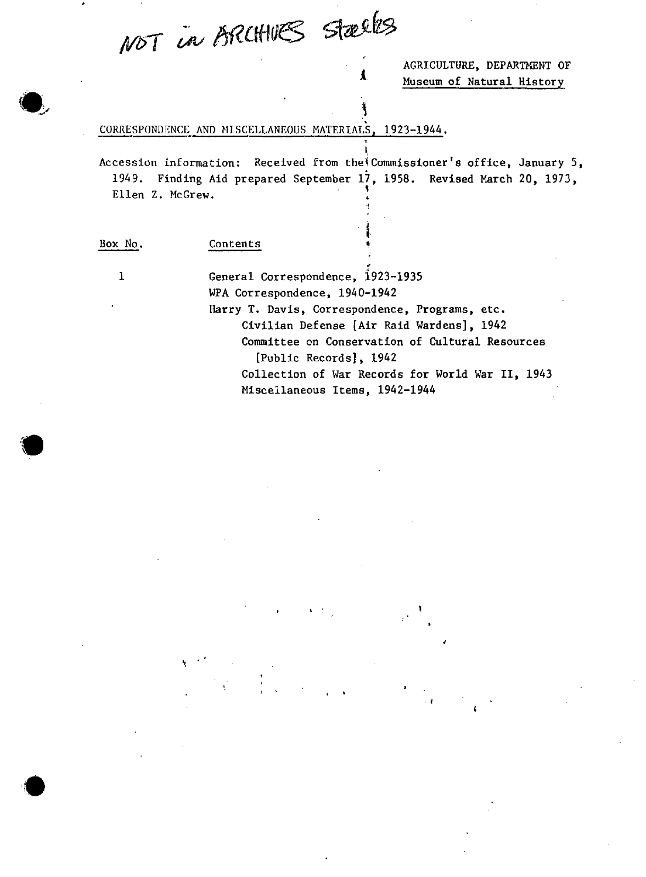NOT in BRUHVES Stælles

AGRICULTURE, DEPARTMENT OF Museum of Natural History

#### CORRESPONDENCE AND MISCELLANEOUS MATERIALS, 1923-1944.

Accession information: Received from the Commissioner's office, January 5, 1949; Finding Aid prepared September 17, 1958. Revised March 20, 1973, Ellen Z. McGrew.

. '

...

 $\mathbf{I}$ 

J.

Box No.

Contents ~:

\

1

 $\bullet$ 

,<br>پ General Correspondence, i923-1935 WPA Correspondence, 1940-1942 Harry T. Davis, Correspondence, Programs, etc. Civilian Defense [Air Raid Wardensl, 1942 Committee on Conservation of Cultural Resources [Public Recordsl, 1942 Collection of War Records for World War II, 1943 Miscellaneous Items, 1942-1944

,

. ,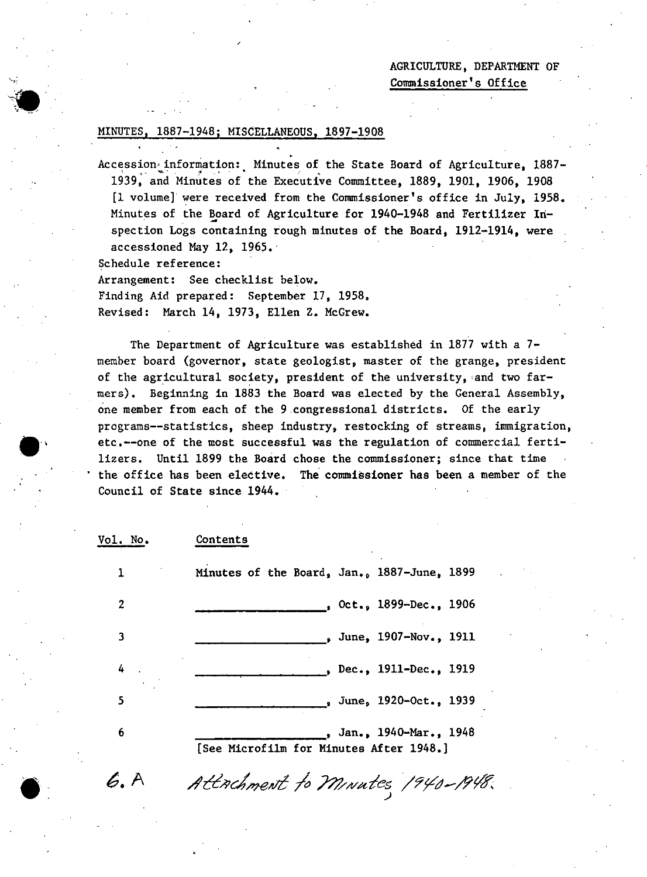## AGRICULTURE, DEPARTMENT OF Commissioner's Office

### 1887-1948; MISCELLANEOUS, 1897-1908

Accession' information: Minutes of the State Board of Agriculture, 1887- 1939, and Minutes of the Executive Committee,  $1889$ ,  $1901$ ,  $1906$ ,  $1908$ [1 volume] were received from the Commissioner's office in July, 1958. Minutes of the Board of Agriculture for 1940-1948 and Fertilizer Inspection Logs containing rough minutes of the Board, 1912-1914, were accessioned May 12, 1965.'

Schedule reference:

 $\bullet$  : •

 $\bullet$ 

6.A

Arrangement: See checklist below. Finding Aid prepared: September 17, 1958. Revised: March 14, 1973, Ellen Z. McGrew.

The Department of Agriculture was established in 1877 with a 7 member board (governor, state geologist, master of the grange, president of the agricultural society, president of the university, 'and two farmers). Beginning in 1883 the Board was elected by the General Assembly, one member from each of the 9 ,congressional districts. Of the early programs--statistics, sheep industry, restocking of streams, immigration, etc.--one of the most successful was the regulation of commercial fertilizers. Until 1899 the Board chose the commissioner; since that time the office has been elective. The commissioner has been a member of the Council of State since 1944.

| Vol. No. | Contents                                                           |
|----------|--------------------------------------------------------------------|
| 1        | Minutes of the Board, Jan., 1887-June, 1899                        |
| 2        | , Oct., 1899-Dec., 1906                                            |
| 3        | June, 1907-Nov., 1911                                              |
| 4        | Dec., 1911-Dec., 1919                                              |
| 5        | , June, 1920-Oct., 1939                                            |
| 6        | , Jan., 1940-Mar., 1948<br>[See Microfilm for Minutes After 1948.] |

Attachment to Minutes 1940-1948.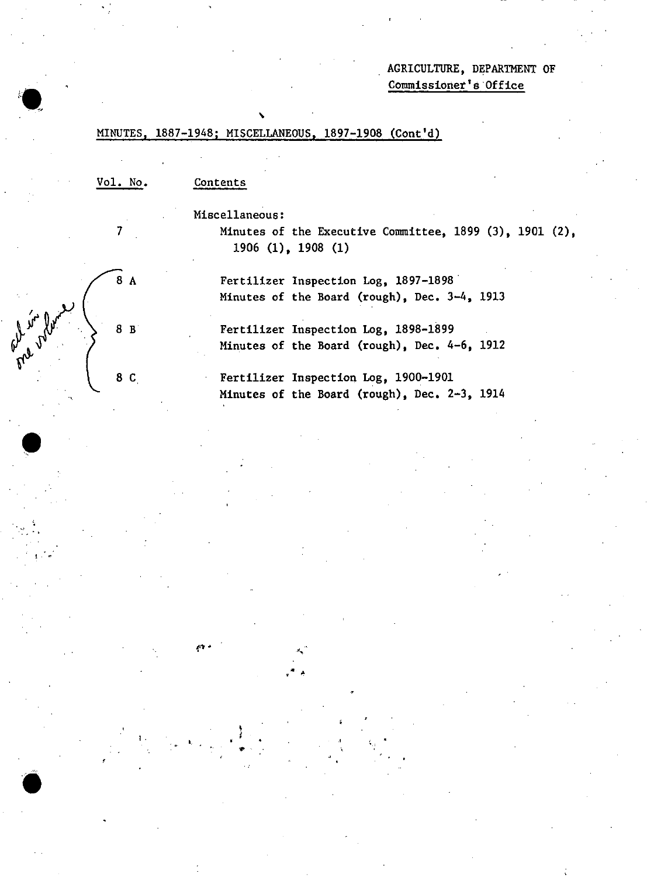## AGRICULTURE, DEPARTMENT OF Commissioner's 'Office

## MINUTES, 1887-1948; MISCELLANEOUS, 1897-1908 (Cont'd)

,

Vol. No.

7

 $8A$ 

8 B

8 C

 $\bullet$ 

ol in for

',,' ..

 $t$ ,  $\frac{1}{2}$ 

•

, '

,

.'

#### Contents

Miscellaneous:

Minutes of the Executive Committee, 1899 (3), 1901 (2), 1906 (I), 1908 (1)

Fertilizer Inspection Log, 1897-1898' Minutes of the Board (rough), Dec. 3-4, 1913

Fertilizer Inspection Log, 1898-1899 Minutes of the Board (rough), Dec. 4-6, 1912

Fertilizer Inspection Log, 1900-1901 Minutes of the Board (rough), Dec. 2-3, 1914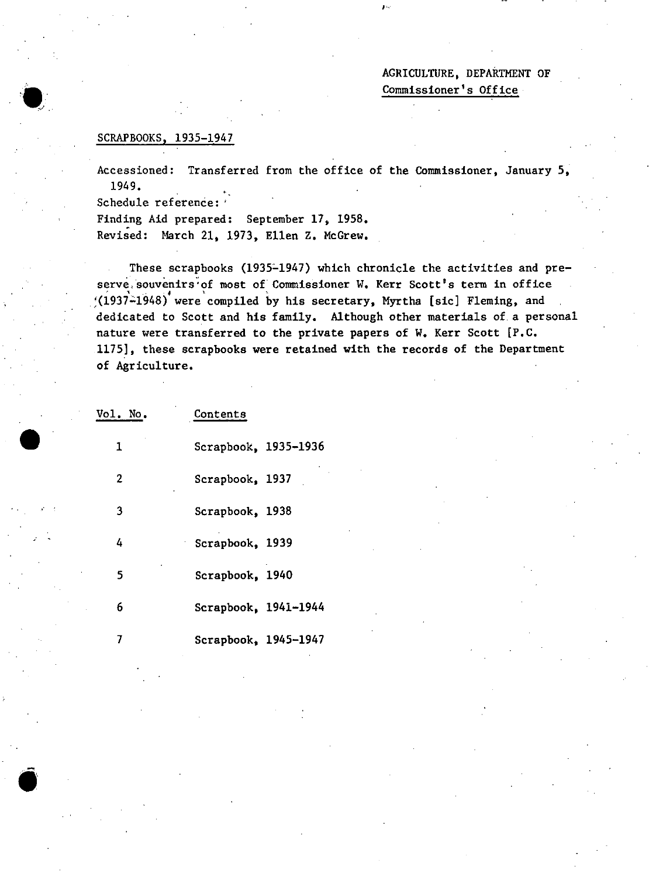AGRICULTURE, DEPARTMENT OF Commissioner's Office

#### SCRAPBOOKS, 1935-1947

Accessioned: Transferred from the office of the Commissioner, January 5, 1949.

эν,

Schedule reference: '

•

,

Finding Aid prepared: September 17, 1958. Revised: March 21, 1973, Ellen Z. McGrew.

These scrapbooks (1935~1947) which chronicle the activities and preserve, souvenirs of most of Commissioner W. Kerr Scott's term in office  $(1937-1948)$  were compiled by his secretary, Myrtha [sic] Fleming, and dedicated to Scott and his family. Although other materials of a personal nature were transferred to the private papers of W. Kerr Scott [P.C. 11751, these scrapbooks were retained with the records of the Department of Agriculture.

| Vol. No.     | Contents               |  |
|--------------|------------------------|--|
| 1            | Scrapbook, 1935-1936   |  |
| $\mathbf{2}$ | Scrapbook, 1937        |  |
| 3            | Scrapbook, 1938        |  |
| 4            | Scrapbook, 1939        |  |
| 5            | Scrapbook, 1940        |  |
| 6            | Scrapbook, $1941-1944$ |  |
|              | Scrapbook, 1945-1947   |  |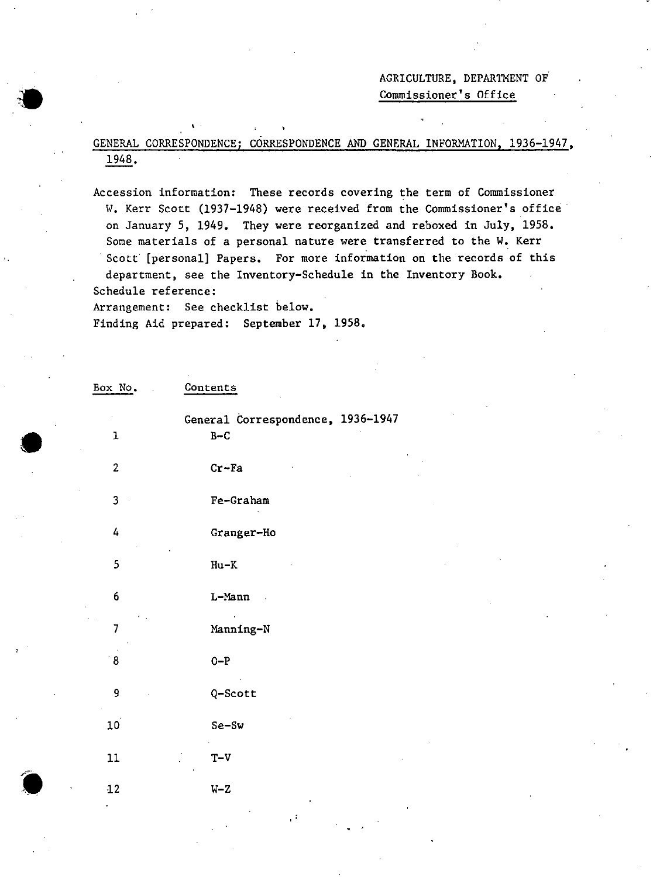AGRICULTURE, DEPARTMENT OF Commissioner's Office

GENERAL CORRESPONDENCE; CORRESPONDENCE AND GENERAL INFORMATION, 1936-1947, 1948.

Accession information: These records covering the term of Commissioner W. Kerr Scott (1937-1948) were received from the Commissioner's office on January 5, 1949. They were reorganized and reboxed in July, 1958. Some materials of a personal nature were transferred to the W. Kerr Scott [personal] Papers. For more information on the records of this department, see the Inventory-Schedule in the Inventory Book. Schedule reference: Arrangement: See checklist below.

.

Finding Aid prepared: September 17, 1958.

Box No. Contents

, .

•

•

 $\bullet$ 

| ${\bf l}$       | General Correspondence, 1936-1947<br>$B-C$ |  |
|-----------------|--------------------------------------------|--|
| $\overline{2}$  | $Cr$ -Fa                                   |  |
| 3               | Fe-Graham                                  |  |
| 4               | Granger-Ho                                 |  |
| 5               | $Hu-K$                                     |  |
| 6               | L-Mann                                     |  |
| $\overline{7}$  | Manning-N                                  |  |
| $^{\circ}8$     | $O-P$                                      |  |
| 9               | Q-Scott                                    |  |
| 10 <sup>1</sup> | Se-Sw                                      |  |
| 11              | $T-V$                                      |  |
| $12\,$          | $W - Z$                                    |  |
|                 |                                            |  |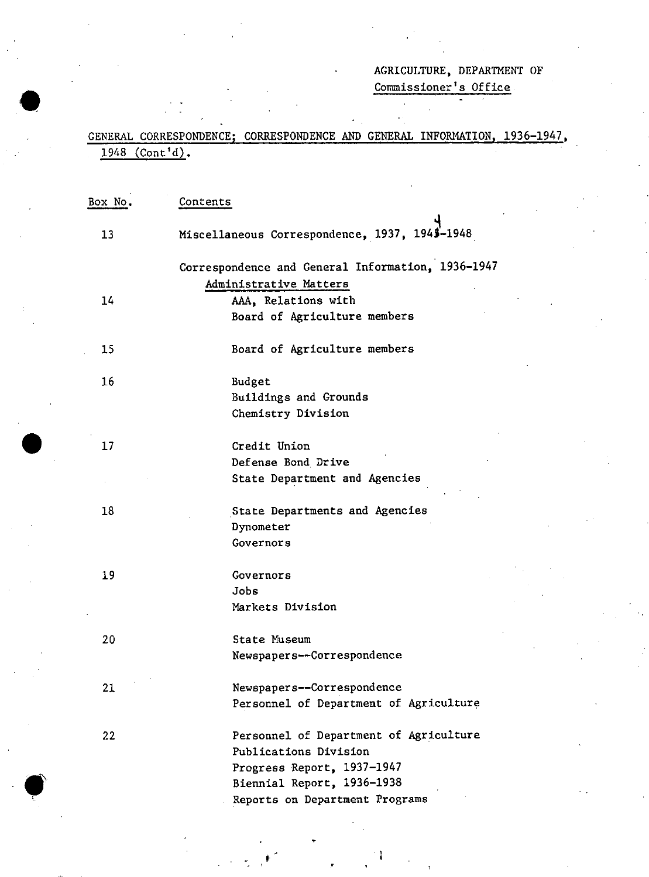# AGRICULTURE, DEPARTMENT OF

Commissioner's Office

## GENERAL CORRESPONDENCE; CORRESPONDENCE AND GENERAL INFORMATION, 1936-1947,  $1948$  (Cont'd).

| Box No. | Contents                                          |
|---------|---------------------------------------------------|
| 13      | Miscellaneous Correspondence, 1937, 1945-1948     |
|         | Correspondence and General Information, 1936-1947 |
|         | Administrative Matters                            |
| 14      | AAA, Relations with                               |
|         | Board of Agriculture members                      |
| 15      | Board of Agriculture members                      |
| 16      | Budget                                            |
|         | Buildings and Grounds                             |
|         | Chemistry Division                                |
| 17      | Credit Union                                      |
|         | Defense Bond Drive                                |
|         | State Department and Agencies                     |
| 18      | State Departments and Agencies                    |
|         | Dynometer                                         |
|         | Governors                                         |
| 19      | Governors                                         |
|         | Jobs                                              |
|         | Markets Division                                  |
| 20      | State Museum                                      |
|         | Newspapers--Correspondence                        |
| 21      | Newspapers--Correspondence                        |
|         | Personnel of Department of Agriculture            |
| 22      | Personnel of Department of Agriculture            |
|         | Publications Division                             |
|         | Progress Report, 1937-1947                        |
|         | Biennial Report, 1936-1938                        |
|         | Reports on Department Programs                    |

•

. , •

j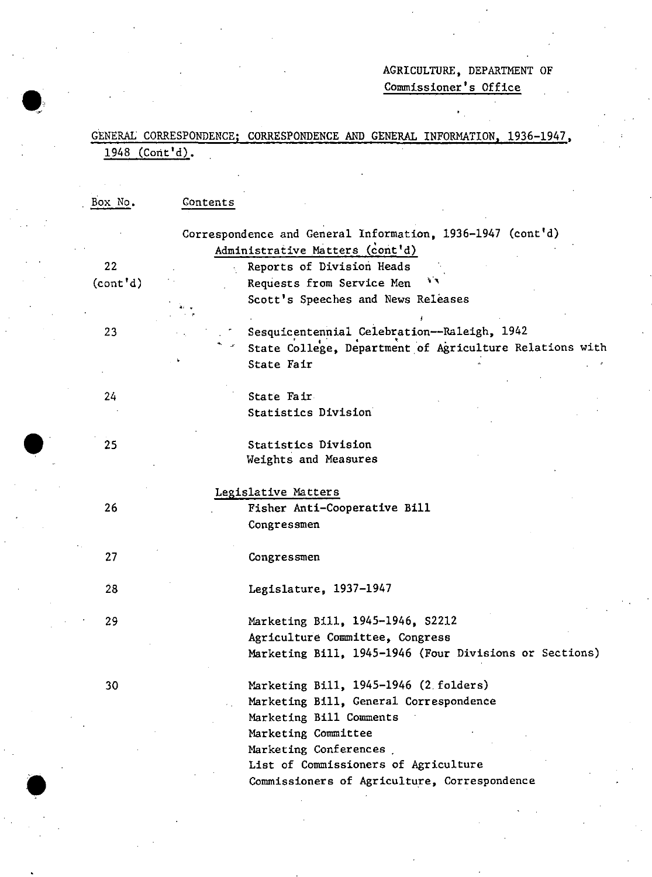## AGRICULTURE, DEPARTMENT OF Commissioner's Office

GENERAL CORRESPONDENCE; CORRESPONDENCE AND GENERAL INFORMATION, 1936-1947, 1948 (Cont'd).

| Box No.   | Contents |                                                                                               |
|-----------|----------|-----------------------------------------------------------------------------------------------|
|           |          | Correspondence and General Information, 1936-1947 (cont'd)<br>Administrative Matters (cont'd) |
| 22        |          | Reports of Division Heads                                                                     |
| (cont' d) |          | 青草<br>Requests from Service Men                                                               |
|           |          | Scott's Speeches and News Releases                                                            |
|           |          |                                                                                               |
| 23        |          | Sesquicentennial Celebration--Raleigh, 1942                                                   |
|           |          | State College, Department of Agriculture Relations with                                       |
|           |          | State Fair                                                                                    |
|           |          |                                                                                               |
| 24        |          | State Fair                                                                                    |
|           |          | Statistics Division                                                                           |
|           |          |                                                                                               |
| 25        |          | Statistics Division                                                                           |
|           |          | Weights and Measures                                                                          |
|           |          |                                                                                               |
|           |          | Legislative Matters                                                                           |
| 26        |          | Fisher Anti-Cooperative Bill                                                                  |
|           |          | Congressmen                                                                                   |
| 27        |          | Congressmen                                                                                   |
|           |          |                                                                                               |
| 28        |          | Legislature, 1937-1947                                                                        |
|           |          |                                                                                               |
| 29        |          | Marketing Bill, 1945-1946, S2212                                                              |
|           |          | Agriculture Committee, Congress                                                               |
|           |          | Marketing Bill, 1945-1946 (Four Divisions or Sections)                                        |
| 30        |          | Marketing Bill, 1945-1946 (2 folders)                                                         |
|           |          | Marketing Bill, General Correspondence                                                        |
|           |          | Marketing Bill Comments                                                                       |
|           |          | Marketing Committee                                                                           |
|           |          | Marketing Conferences                                                                         |
|           |          | List of Commissioners of Agriculture                                                          |
|           |          | Commissioners of Agriculture, Correspondence                                                  |

•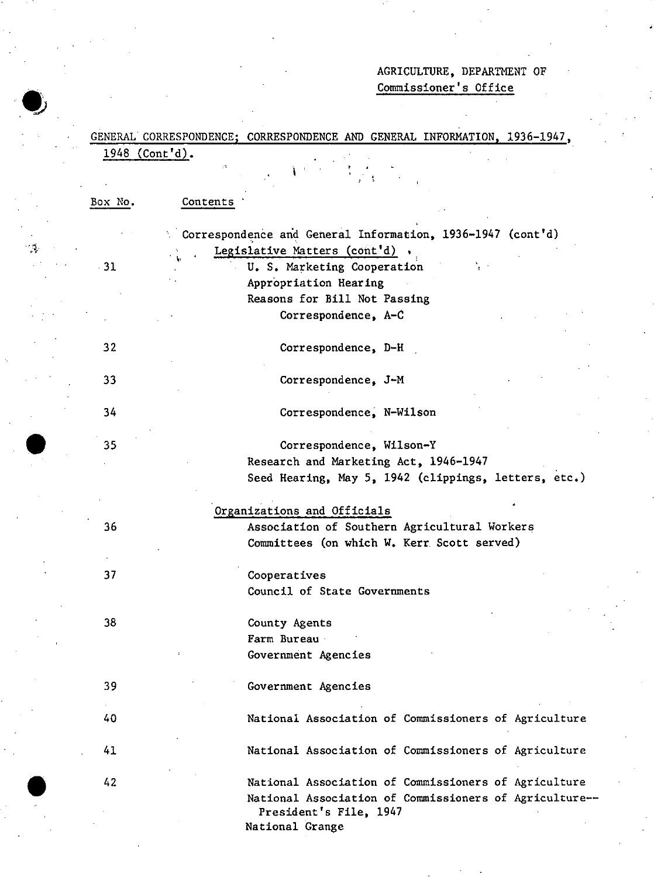## AGRICULTURE, DEPARTMENT OF Commissioner's Office

|         | 1948 (Cont'd).                                                                                               |
|---------|--------------------------------------------------------------------------------------------------------------|
|         |                                                                                                              |
|         |                                                                                                              |
| Box No. | Contents                                                                                                     |
|         | Correspondence and General Information, 1936-1947 (cont'd)                                                   |
|         | Legislative Matters (cont'd)                                                                                 |
| $-31$   | U. S. Marketing Cooperation                                                                                  |
|         | Appropriation Hearing                                                                                        |
|         | Reasons for Bill Not Passing                                                                                 |
|         | Correspondence, A-C                                                                                          |
| 32      | Correspondence, D-H                                                                                          |
|         |                                                                                                              |
| 33      | Correspondence, J-M                                                                                          |
| 34      | Correspondence, N-Wilson                                                                                     |
| 35      | Correspondence, Wilson-Y                                                                                     |
|         | Research and Marketing Act, 1946-1947                                                                        |
|         | Seed Hearing, May 5, 1942 (clippings, letters, etc.)                                                         |
|         |                                                                                                              |
|         | Organizations and Officials                                                                                  |
|         |                                                                                                              |
| 36      | Association of Southern Agricultural Workers                                                                 |
|         | Committees (on which W. Kerr Scott served)                                                                   |
|         |                                                                                                              |
| 37      | Cooperatives                                                                                                 |
|         | Council of State Governments                                                                                 |
|         |                                                                                                              |
| 38      | County Agents                                                                                                |
|         | Farm Bureau                                                                                                  |
|         | Government Agencies                                                                                          |
| 39      | Government Agencies                                                                                          |
|         |                                                                                                              |
| 40      | National Association of Commissioners of Agriculture                                                         |
| 41      |                                                                                                              |
| 42      | National Association of Commissioners of Agriculture<br>National Association of Commissioners of Agriculture |
|         | National Association of Commissioners of Agriculture--<br>President's File, 1947                             |

•<br>•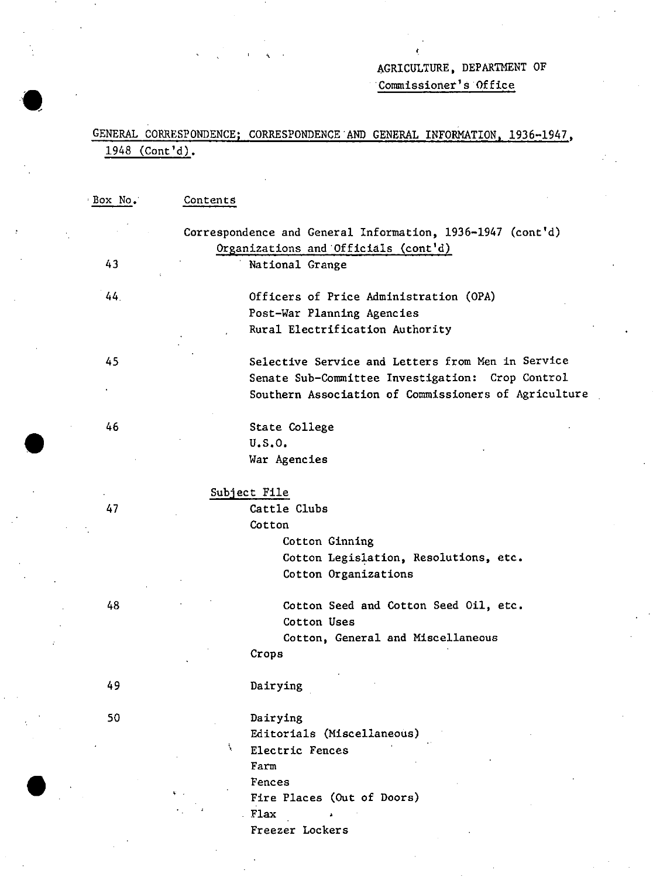# AGRICULTURE, DEPARTHENT OF

Commissioner's Office

## GENERAL CORRESPONDENCE; CORRESPONDENCE·AND GENERAL INFORMATION, 1936-1947,  $1948$  (Cont'd).

,

| Box No. | Contents                                                   |
|---------|------------------------------------------------------------|
|         | Correspondence and General Information, 1936-1947 (cont'd) |
|         | Organizations and Officials (cont'd)                       |
| 43      | National Grange                                            |
| 44.     | Officers of Price Administration (OPA)                     |
|         | Post-War Planning Agencies                                 |
|         | Rural Electrification Authority                            |
|         |                                                            |
| 45      | Selective Service and Letters from Men in Service          |
|         | Senate Sub-Committee Investigation: Crop Control           |
|         | Southern Association of Commissioners of Agriculture       |
| 46      | State College                                              |
|         | U.S.O.                                                     |
|         | War Agencies                                               |
|         | Subject File                                               |
| 47      | Cattle Clubs                                               |
|         | Cotton                                                     |
|         | Cotton Ginning                                             |
|         | Cotton Legislation, Resolutions, etc.                      |
|         | Cotton Organizations                                       |
|         |                                                            |
| 48      | Cotton Seed and Cotton Seed Oil, etc.                      |
|         | Cotton Uses                                                |
|         | Cotton, General and Miscellaneous                          |
|         | Crops                                                      |
| 49      | Dairying                                                   |
| 50      | Dairying                                                   |
|         | Editorials (Miscellaneous)                                 |
|         | ħ.<br>Electric Fences                                      |
|         | Farm                                                       |
|         | Fences                                                     |
|         | Fire Places (Out of Doors)                                 |
|         | Flax                                                       |
|         | Freezer Lockers                                            |

•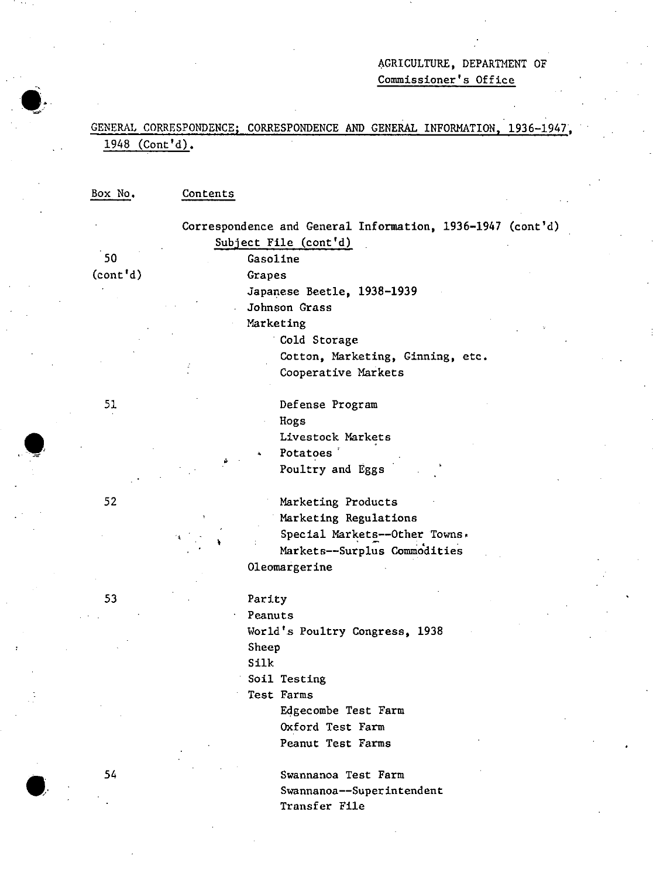## AGRICULTURE, DEPARTMENT OF Commissioner's Office

## GENERAL CORRESPONDENCE; CORRESPONDENCE AND GENERAL INFORMATION, 1936-1947, 1948 (Cont'd).

Box No. Contents

50 (cont'd) 51 52 53 , Correspondence and General Information, 1936-1947 (cont'd) Subject File (cont'd) Gasoline • Grapes Japanese Beetle, 1938-1939 Johnson Grass Marketing . Cold Storage Cotton, Marketing, Ginning, etc. Cooperative Markets Defense Program Hogs Livestock Markets Potatoes<sup>'</sup> Poultry and Eggs Marketing Products Marketing Regulations Special Markets--Other Towns. Markets--Surp1us Commodities 01eomargerine Parity Peanuts World's Poultry Congress, 1938 Sheep Silk Soil Testing Test Farms Edgecombe Test Farm Oxford Test Farm

Peanut Test Farms

Swannanoa Test Farm Swannanoa--Superintendent Transfer File

54

**.'**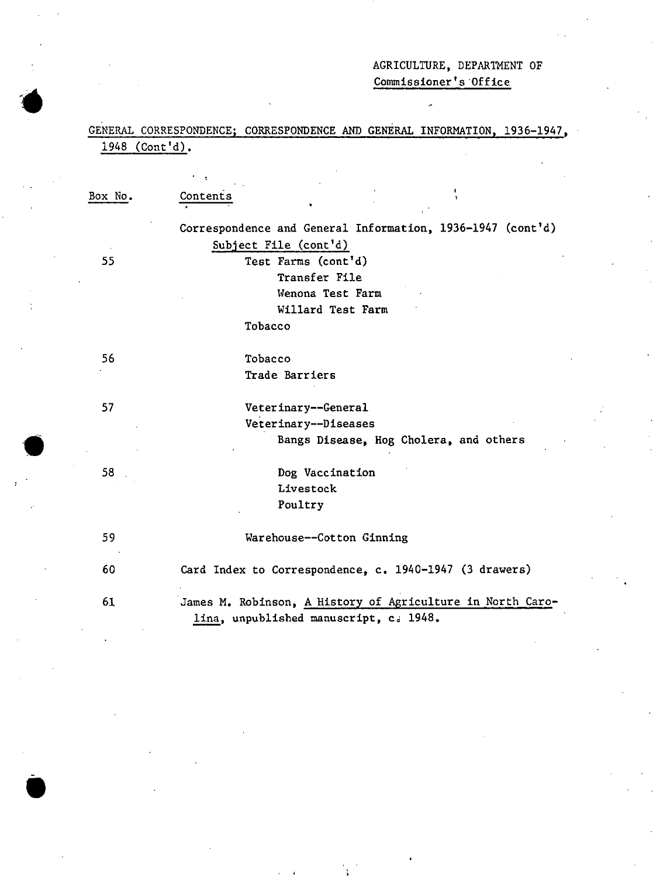## AGRICULTURE, DEPARTMENT OF Commissioner's 'Office

## GENERAL CORRESPONDENCE; CORRESPONDENCE AND GENERAL INFORMATION, 1936-1947, 1948 (Cont'd).

Box No. 55 56 57 58 59 60 61 Contents Correspondence and General Information, 1936-1947 (cont'd) Subject File (cont'd) Test Farms (cont'd) Transfer File IVenona Test Farm Willard Test Farm Tobacco Tobacco Trade Barriers Veterinary--General Veterinary--Diseases Bangs Disease, Hog Cholera, and others Dog Vaccination Livestock Poultry Warehouse--Cotton Ginning Card Index to Correspondence, c. 1940-1947 (3 drawers) James M. Robinson, A History of Agriculture in North Carolina, unpublished manuscript,  $c_d$  1948.

**'.**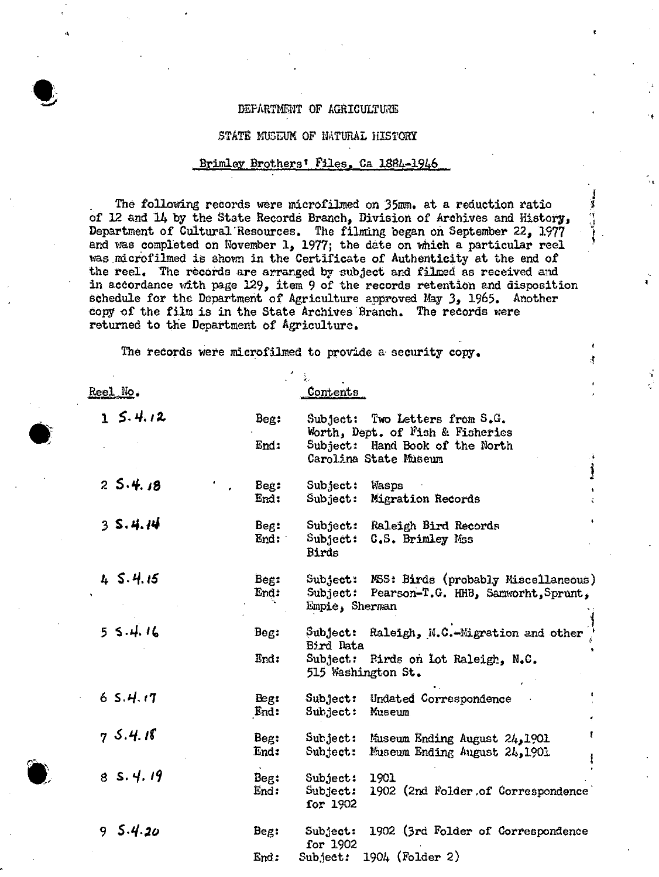#### DEPARTMENT OF AGRICULTURE

"

'.

.;

đ

•

 $\bullet$ 

#### STATE MUSEUM OF NATURAL HISTORY

#### Brimley Brothers' Files, Ca 1884-1946

The following records were microfilmed on 35mm. at a reduction ratio of 12 and 14 by the State Records Branch, Division of Archives and History, Department of Cultural Resources. The filming began on September 22, 1977 and was completed on November 1, 1977; the date on which a particular reel was microfilmed is shown in the Certificate of Authenticity at the end of the reel. 'The records are arranged by subject and filmed as received and in accordance with page  $129$ , item 9 of the records retention and disposition schedule for the Department of Agriculture approved May 3, 1965. Another copy of the film is in the State Archives Branch. The records were returned to tne Department of Agriculture.

The records Were microfilmed to provide a security copy.

| Reel No.    |              | <u>Contents</u>                                                                                                                       |
|-------------|--------------|---------------------------------------------------------------------------------------------------------------------------------------|
| 15.4.12     | Beg:         | Subject: Two Letters from S.G.<br>Worth, Dept. of Fish & Fisheries                                                                    |
|             | End:         | Subject: Hand Book of the North<br>Carolina State Museum                                                                              |
| 25.4.18     | Beg:<br>End: | Subject:<br>Wasps<br>$\mathbf{Sub}\texttt{ject}$ :<br>Migration Records                                                               |
| 35.4.14     | Beg:<br>End: | Subject:<br>Raleigh Bird Records<br>$\texttt{Subject:}$<br>C.S. Brimley Mss<br>Birds                                                  |
| 45.4.15     | Beg:<br>End: | Subject: MSS: Birds (probably Miscellaneous)<br>Subject: Pearson-T.G. HHB, Samworht, Sprunt,<br>Empie, Sherman                        |
| 55.4.16     | Beg:<br>End: | Raleigh, N.C.-Migration and other<br>Subfect:<br>Bird Data<br>Subject: Pirds on Lot Raleigh, N.C.<br>515 Washington St.               |
| 65.4.17     | Beg:<br>End: | Subject: Undated Correspondence<br>$\mathbf{Sub}\mathbf{jet:}% \mathbf{A}\mathbf{C}=\mathbf{0}^{T}\mathbf{0}^{T}\mathbf{0}$<br>Museum |
| 75.4.18     | Beg:<br>End: | Subject: Museum Ending August 24, 1901<br>Subject:<br>Museum Ending August 24,1901                                                    |
| 8S.4.19     | Beg:<br>End: | 1901<br>Subject:<br>1902 (2nd Folder of Correspondence<br>Subject:<br>for 1902                                                        |
| 5.4.20<br>9 | Beg:         | 1902 (3rd Folder of Correspondence<br>Subject:<br>for 1902                                                                            |
|             | End:         | 1904 (Folder 2)<br>Subject:                                                                                                           |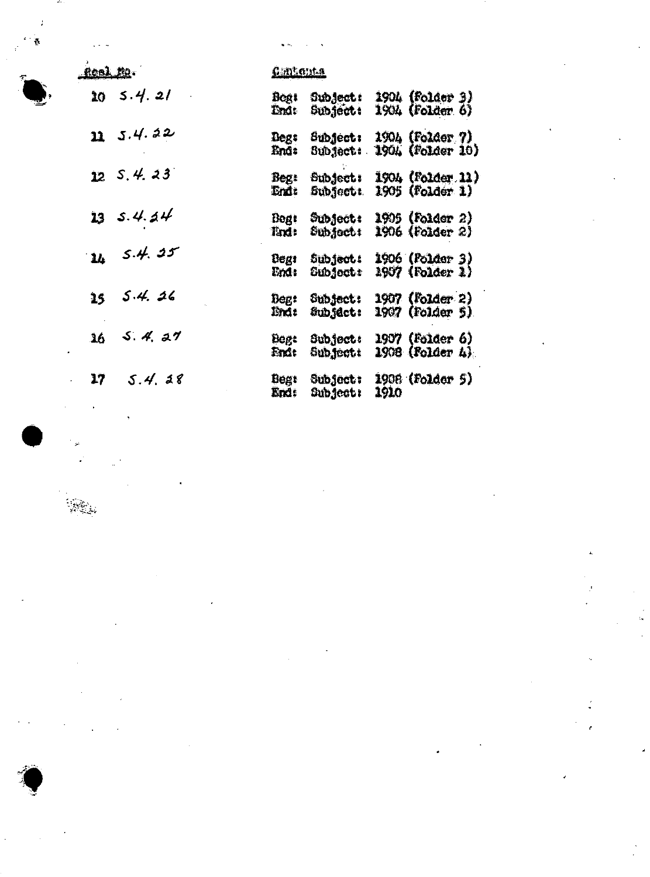

, i.e.

| Real Ma<br>$\overline{\epsilon}$ | <u>Guntenta</u>                                                                      |
|----------------------------------|--------------------------------------------------------------------------------------|
| $20 \t5.4 \t21$                  | Subject: 1904 (Folder 3)<br>Begt<br>Subject: 1904 (Folder 6)<br>Lnd:                 |
| 115.4.22                         | Subject: 1904 (Folder ?)<br>Degt<br>End: Subject: 1904 (Folder 10)                   |
| $12$ S, 4, 23                    | Beg: Subject: 1904 (Folder 11)<br>End: Subject: 1905 (Folder 1)                      |
| $13$ $5.4.44$                    | Beg: Subject: 1905 (Folder 2)<br>Tind: Subject: 1906 (Folder 2)                      |
| 16, 5.4, 25                      | Subject: 1906 (Folder 3)<br>Begt<br><b>Subject:</b><br>1907 (Folder 1)<br>End:       |
| 5.4.26<br>15                     | Beg: Subject: 1907 (Folder 2)<br>1907 (Folder 5)<br>Subject:<br>lindt                |
| $36$ $5.4.27$                    | Subject: 1907 (Folder 6)<br><b>Begt</b><br>$1908$ (Folder $h$ ).<br>Subject:<br>fm1t |
| 5.4.18<br>17                     | Subject: 1908 (Folder 5)<br><b>Begt</b><br>End:<br>Subject:<br>1910                  |



 $\bullet$   $\bullet$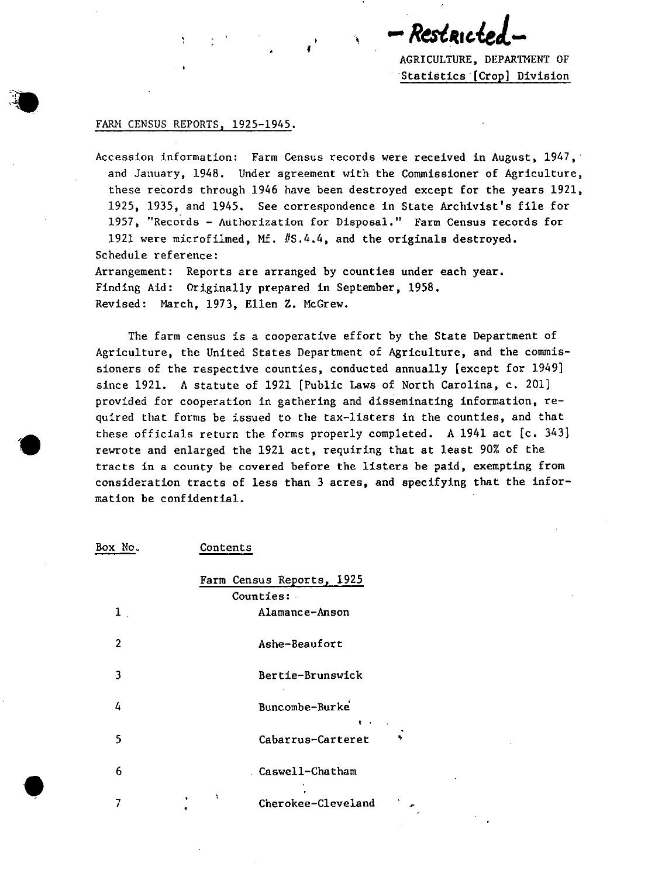Restau

AGRICULTURE, DEPARTMENT OF Statistics· [Crop] Division

### FARM CENSUS REPORTS, 1925-1945.

 $\bullet$ 

•

Accession information: Farm Census records were received in August, 1947, and January, 1948. Under agreement with the Commissioner of Agriculture, these records through 1946 have been destroyed except for the years 1921, 1925, 1935, and 1945. See correspondence in State Archivist's file for 1957, "Records - Authorization for Disposal." Farm Census records for 1921 were microfilmed, Mf. #5.4.4, and the originals destroyed. Schedule reference:

Arrangement: Reports are arranged by counties under each year. Finding Aid: Originally prepared in September, 1958. Revised: March, 1973, Ellen Z. McGrew.

The farm census is a cooperative effort by the State Department of Agriculture, the United States Department of Agriculture, and the commissioners of the respective counties, conducted annually [except for 1949] since 1921. A statute of 1921 [Public Laws of North Carolina, c. 201] provided for cooperation in gathering and disseminating information, required that forms be issued to the tax-listers in the counties, and that these officials return the forms properly completed. A 1941 act  $[c. 343]$ rewrote and enlarged the 1921 act, requiring that at least 90% of the tracts in a county be covered before the listers be paid, exempting from consideration tracts of less than 3 acres, and specifying that the information be confidential.

| Box No.        | Contents                           |
|----------------|------------------------------------|
|                | Farm Census Reports, 1925          |
|                | Counties:                          |
| $\mathbf{1}$ . | Alamance-Anson                     |
| 2              | Ashe-Beaufort                      |
| 3              | Bertie-Brunswick                   |
| 4              | Buncombe-Burke<br><b>Financial</b> |
| 5              | Cabarrus-Carteret                  |
| 6              | Caswell-Chatham                    |
| 7              | ħ<br>÷<br>Cherokee-Cleveland<br>1  |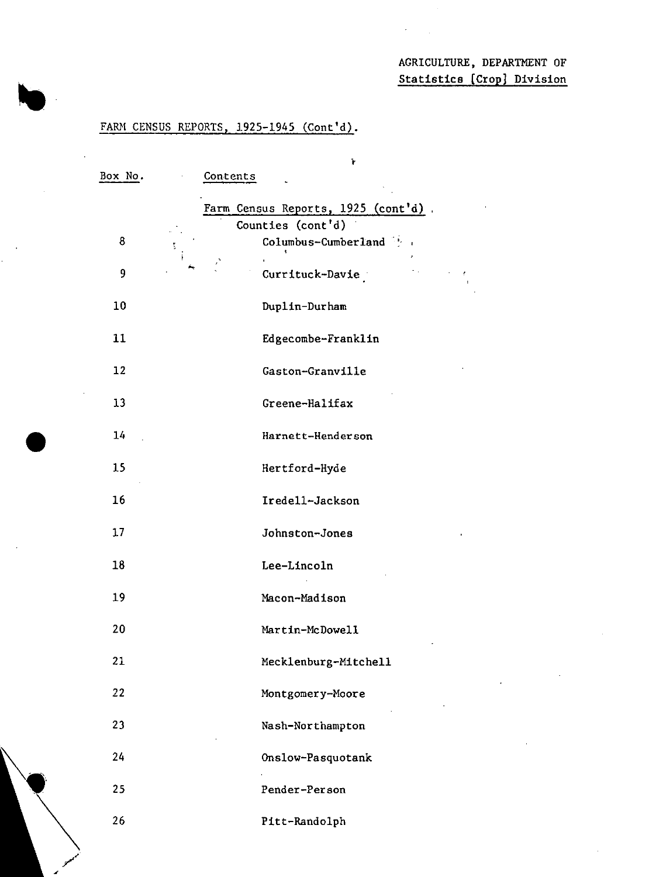## AGRICULTURE. DEPARTMENT OF Statistics [Crop] Division

## FARM CENSUS REPORTS, 1925-1945 (Cont'd).

•

/"

| Box No. |   | Contents | $\mathbf{r}$                       |  |
|---------|---|----------|------------------------------------|--|
|         |   |          | Farm Census Reports, 1925 (cont'd) |  |
|         |   |          | Counties (cont'd)                  |  |
| 8       | ţ |          | Columbus-Cumberland                |  |
| 9       |   |          | Currituck-Davie                    |  |
| 10      |   |          | Duplin-Durham                      |  |
| 11      |   |          | Edgecombe-Franklin                 |  |
| 12      |   |          | Gaston-Granville                   |  |
| 13      |   |          | Greene-Halifax                     |  |
| 14      |   |          | Harnett-Henderson                  |  |
| 15      |   |          | Hertford-Hyde                      |  |
| 16      |   |          | Iredell-Jackson                    |  |
| 17      |   |          | Johnston-Jones                     |  |
| 18      |   |          | Lee-Lincoln                        |  |
| 19      |   |          | Macon-Madison                      |  |
| 20      |   |          | Martin-McDowell                    |  |
| 21      |   |          | Mecklenburg-Mitchell               |  |
| 22      |   |          | Montgomery-Moore                   |  |
| 23      |   |          | Nash-Northampton                   |  |
| 24      |   |          | Onslow-Pasquotank                  |  |
| 25      |   |          | Pender-Person                      |  |
| 26      |   |          | Pitt-Randolph                      |  |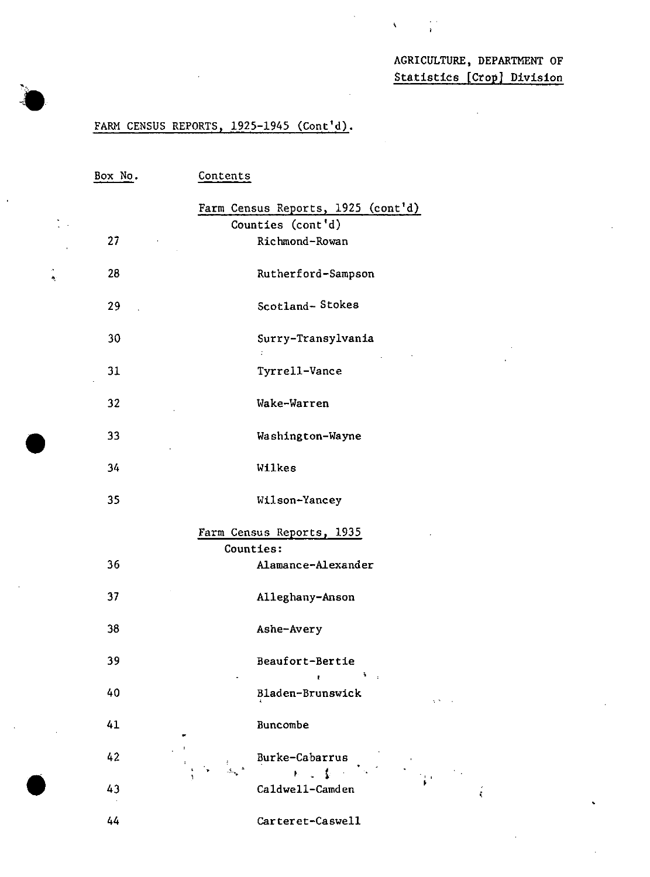## AGRICULTURE, DEPARTMENT OF Statistics [Crop) Division

 $\ddot{\phantom{a}}$ 

 $\hat{\mathbf{v}}$ 

## FARM CENSUS REPORTS, 1925-1945 (Cont'd).

'.

 $\mathcal{L}_{\mathcal{A}}$ 

•

| Box No. | Contents                                         |
|---------|--------------------------------------------------|
|         | Farm Census Reports, 1925 (cont'd)               |
|         | Counties (cont'd)                                |
| 27      | Richmond-Rowan                                   |
| 28      | Rutherford-Sampson                               |
| 29      | Scotland-Stokes                                  |
| 30      | Surry-Transylvania<br>÷                          |
| 31      | Tyrrell-Vance                                    |
| 32      | Wake-Warren                                      |
| 33      | Washington-Wayne                                 |
| 34      | Wilkes                                           |
| 35      | Wilson-Yancey                                    |
|         | Farm Census Reports, 1935                        |
|         | Counties:                                        |
| 36      | Alamance-Alexander                               |
| 37      | Alleghany-Anson                                  |
| 38      | Ashe-Avery                                       |
| 39      | Beaufort-Bertie<br>$\mathbf{A}=\mathbf{q}$<br>t. |
| 40      | Bladen-Brunswick                                 |
| 41      | Buncombe                                         |
| 42      | Burke-Cabarrus<br>$\frac{1}{2}$<br>t<br>Sa       |
| 43      | Caldwell-Camden<br>i.                            |
| 44      | Carteret-Caswell                                 |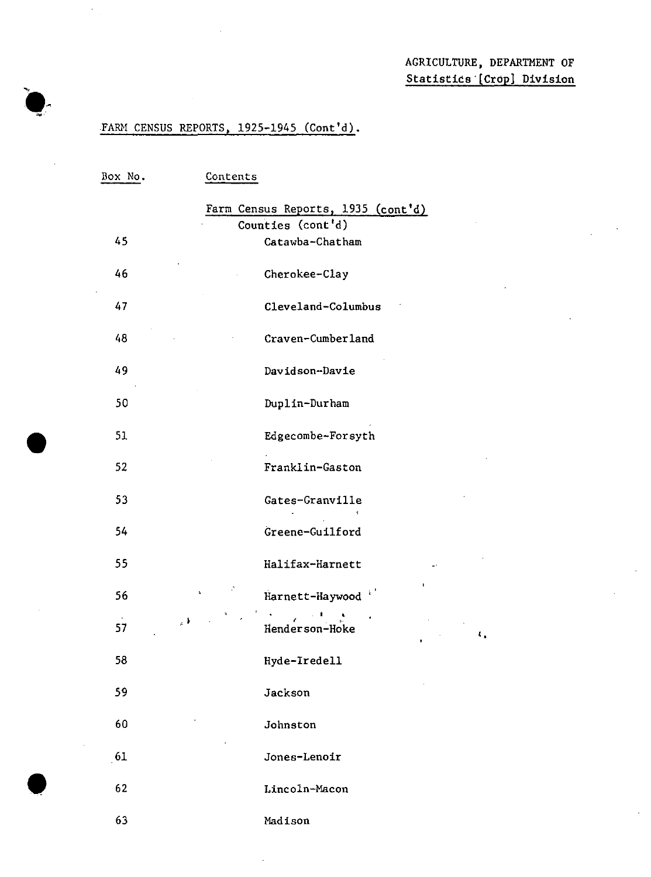## AGRICULTURE, DEPARTMENT OF Statistics [Crop] Division

 $\mathbf{t}_4$ 

## .FARM CENSUS REPORTS, 1925-1945 (Cont'd).

•

| Box No. | Contents                           |
|---------|------------------------------------|
|         | Farm Census Reports, 1935 (cont'd) |
|         | Counties (cont'd)                  |
| 45      | Catawba-Chatham                    |
| 46      | Cherokee-Clay                      |
| 47      | Cleveland-Columbus                 |
| 48      | Craven-Cumberland                  |
| 49      | Davidson-Davie                     |
| 50      | Duplin-Durham                      |
| 51      | Edgecombe-Forsyth                  |
| 52      | Franklin-Gaston                    |
| 53      | Gates-Granville                    |
| 54      | Greene-Guilford                    |
| 55      | Halifax-Harnett                    |
| 56      | I.<br>¥.<br>Harnett-Haywood        |
| 57      | $\mu$ ).<br>Henderson-Hoke         |
| 58      | Hyde-Iredell                       |
| 59      | Jackson                            |
| 60      | Johnston                           |
| 61      | Jones-Lenoir                       |
| 62      | Lincoln-Macon                      |
| 63      | Madison                            |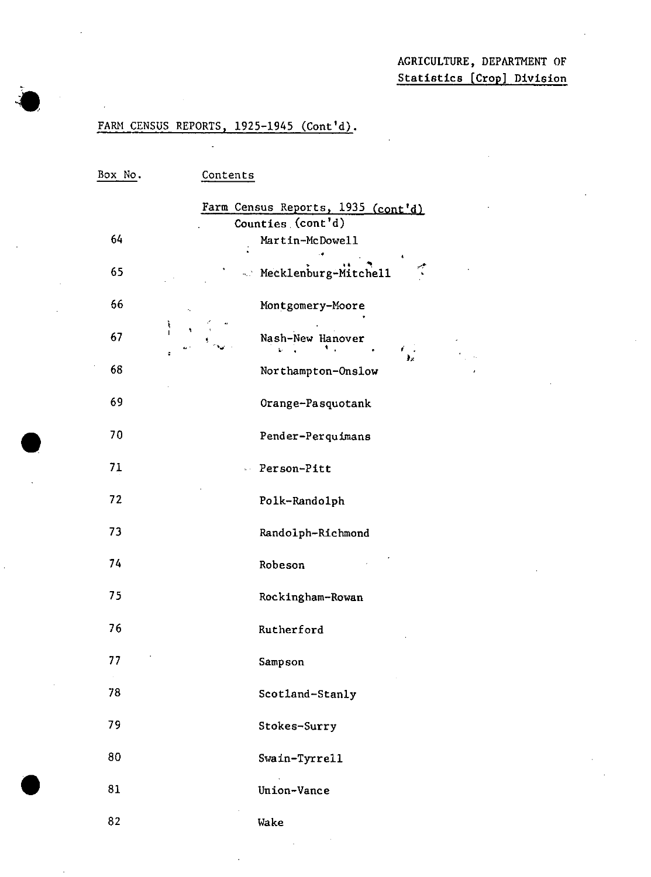## AGRICULTURE, DEPARTMENT OF Statistics [Crop] Division

## FARM CENSUS REPORTS, 1925-1945 (Cont'd).

 $\bullet$  . ,

 $\bullet$ 

| Box No. | Contents                                                |
|---------|---------------------------------------------------------|
|         | Farm Census Reports, 1935 (cont'd)<br>Counties (cont'd) |
| 64      | Martin-McDowell                                         |
| 65      | Mecklenburg-Mitchell<br>$\tilde{\mathcal{L}}$           |
| 66      | Montgomery-Moore<br>$\epsilon_{\rm x}$                  |
| 67      | $\frac{1}{1}$<br>۰<br>Nash-New Hanover<br>٠.            |
| 68      | ÷<br>Northampton-Onslow                                 |
| 69      | Orange-Pasquotank                                       |
| 70      | Pender-Perquimans                                       |
| 71      | Person-Pitt                                             |
| 72      | Polk-Randolph                                           |
| 73      | Randolph-Richmond                                       |
| 74      | Robeson                                                 |
| 75      | Rockingham-Rowan                                        |
| 76      | Rutherford                                              |
| 77      | Sampson                                                 |
| 78      | Scotland-Stanly                                         |
| 79      | Stokes-Surry                                            |
| 80      | Swain-Tyrrell                                           |
| 81      | Union-Vance                                             |
| 82      | Wake                                                    |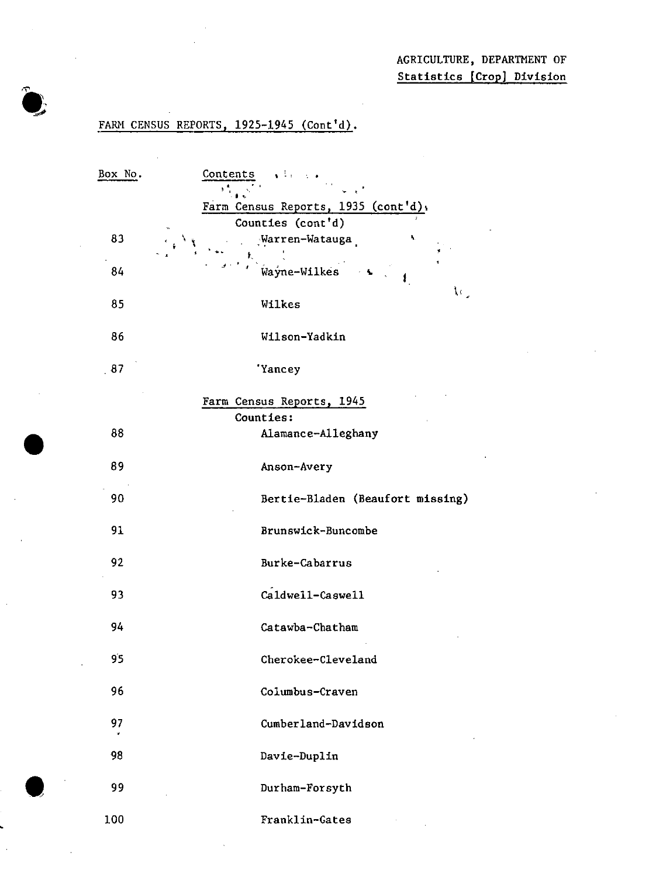## FARM CENSUS REPORTS, 1925-1945 (Cont'd).

•

 $\bullet$ 

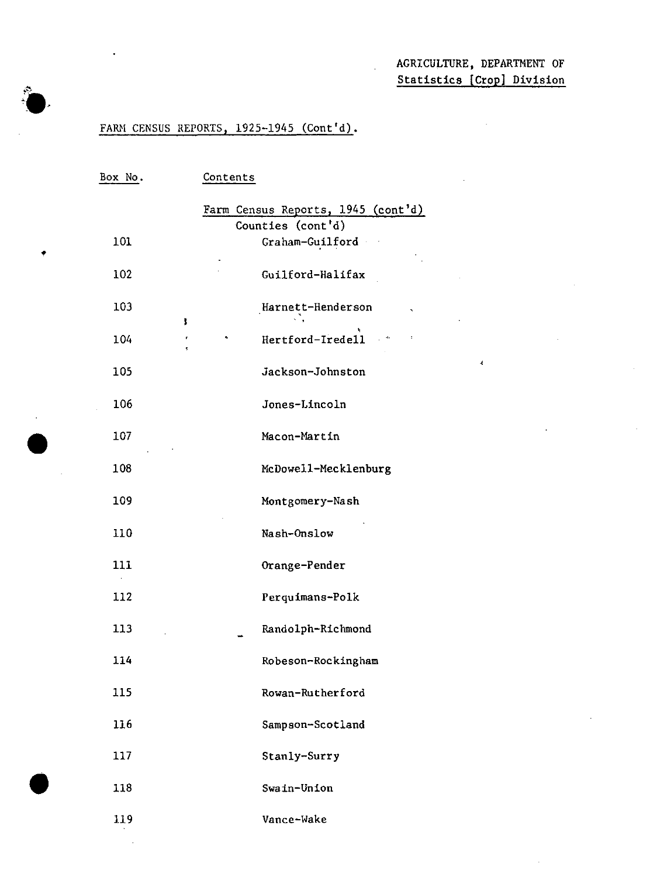$\sim$ 

 $\epsilon$ 

## FARM CENSUS REPORTS, 1925-1945 (Cont'd).

•

•

| Box No. | Contents                                    |
|---------|---------------------------------------------|
|         | Farm Census Reports, 1945 (cont'd)          |
|         | Counties (cont'd)                           |
| 101     | Graham-Guilford                             |
| 102     | Guilford-Halifax                            |
| 103     | Harnett-Henderson<br>ţ.                     |
| 104     | Hertford-Iredell<br>$\mathcal{L}_{\bullet}$ |
| 105     | Jackson-Johnston                            |
| 106     | Jones-Lincoln                               |
| 107     | Macon-Martin                                |
| 108     | McDowell-Mecklenburg                        |
| 109     | Montgomery-Nash                             |
| 110     | Nash-Onslow                                 |
| 111     | Orange-Pender                               |
| 112     | Perquimans-Polk                             |
| 113     | Randolph-Richmond                           |
| 114     | Robeson-Rockingham                          |
| 115     | Rowan-Rutherford                            |
| 116     | Sampson-Scotland                            |
| 117     | Stanly-Surry                                |
| 118     | Swain-Union                                 |
| 119     | Vance-Wake                                  |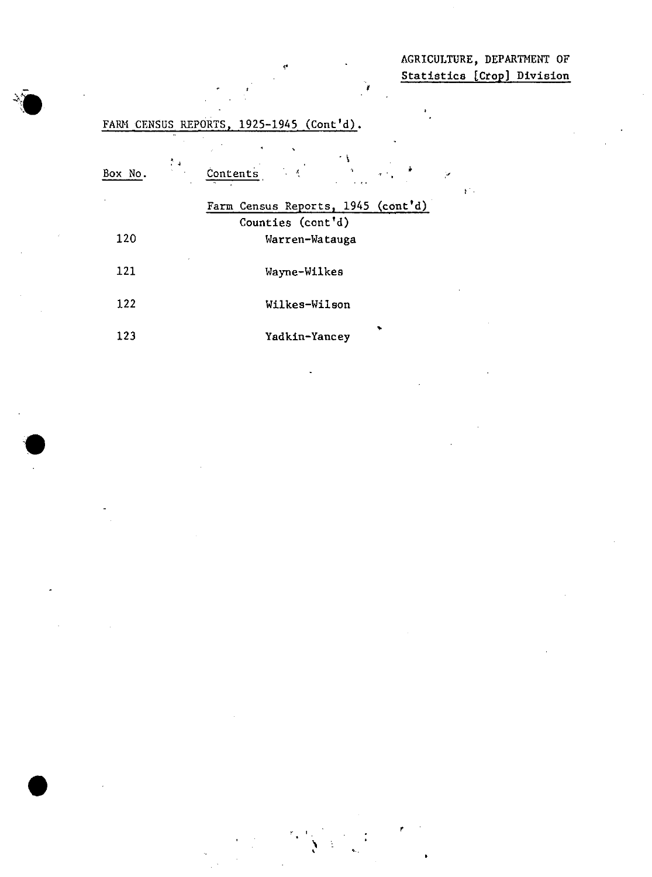AGRICULTURE, DEPARTMENT OF Statistics [Crop) Division

 $\mathcal{V}^{\pm}$  .

 $\frac{1}{2}$ 

,

'I  $\sum_{i,j}$ 

| Box No. | $\sim 1$ | $\mathbf{r}$<br>$\mathcal{L}^{\mathcal{L}}(\mathbf{x})$<br>Contents | У. |
|---------|----------|---------------------------------------------------------------------|----|
|         |          | Farm Census Reports, 1945 (cont'd)                                  |    |
|         |          | Counties (cont'd)                                                   |    |
| 120     |          | Warren-Watauga                                                      |    |
| 121     |          | Wayne-Wilkes                                                        |    |
| 122     |          | Wilkes-Wilson                                                       |    |
| 123     |          | Yadkin-Yancey                                                       |    |

FARM CENSUS REPORTS, 1925-1945 (Cont'd).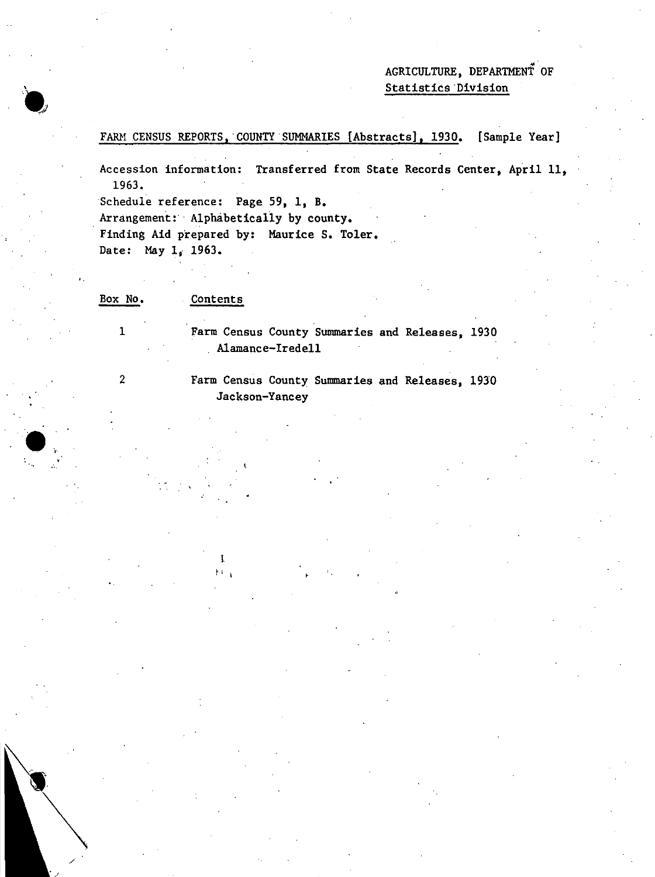## AGRICULTURE, DEPARTMENT OF Statistics·Division

## FARM CENSUS REPORTS, COUNTY SUMMARIES [Abstracts], 1930. [Sample Year]

Accession information: Transferred from State Records Center, April II, 1963.

Schedule reference: Page 59, 1, B.

Arrangement: Alphabetically by county.

Finding Aid prepared by: Maurice S. Toler. Date: May 1, 1963.

Box No. Contents

> Farm Census County Summaries and Releases, 1930 Alamance-Iredell

2

1

..

..

 $\bullet$ 

./

Farm Census County Summaries and Releases, 19JO Jackson-Yancey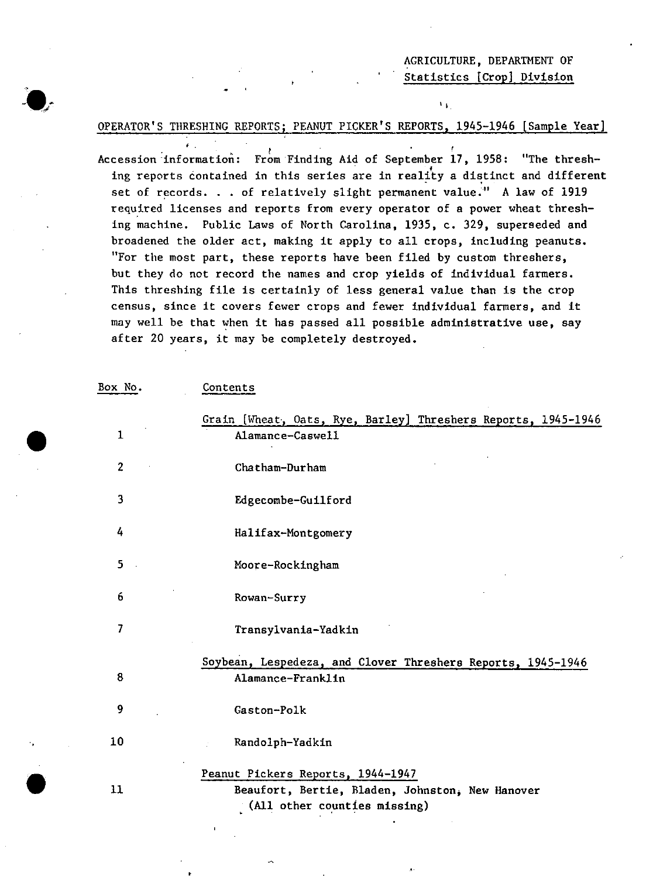## AGRICULTURE, DEPARTMENT OF Statistics [Crop] Division

 $\mathbf{r}$ 

#### OPERATOR'S THRESHING REPORTS; PEANUT PICKER'S REPORTS, 1945-1946 [Sample Year]

, ,

Accession information: From Finding Aid of September 17, 1958: "The threshing reports contained in this series are in reality a distinct and different set of records. . . of relatively slight permanent value." A law of 1919 required licenses and reports from every operator of a power wheat threshing machine. Public Laws of North Carolina, 1935, c. 329, superseded and broadened the older act, making it apply to all crops, including peanuta. "For the most part, these reports have been filed by custom threshers, but they do not record the names and crop yields of individual farmers. This threshing file is certainly of less general value than is the crop census, since it covers fewer crops and fewer individual farmers, and it may well be that when it has passed all possible administrative use, say after 20 years, it may be completely destroyed.

| Box No.        | Contents                                                                                                             |
|----------------|----------------------------------------------------------------------------------------------------------------------|
|                | Grain [Wheat, Oats, Rye, Barley] Threshers Reports, 1945-1946                                                        |
| $\mathbf{1}$   | Alamance-Caswell                                                                                                     |
| $\overline{2}$ | Chatham-Durham                                                                                                       |
| 3              | Edgecombe-Guilford                                                                                                   |
| 4              | Halifax-Montgomery                                                                                                   |
| 5              | Moore-Rockingham                                                                                                     |
| 6              | Rowan-Surry                                                                                                          |
| 7              | Transylvania-Yadkin                                                                                                  |
|                | Soybean, Lespedeza, and Clover Threshers Reports, 1945-1946                                                          |
| 8              | Alamance-Franklin                                                                                                    |
| 9              | Gaston-Polk                                                                                                          |
| 10             | Randolph-Yadkin                                                                                                      |
| 11             | Peanut Pickers Reports, 1944-1947<br>Beaufort, Bertie, Bladen, Johnston, New Hanover<br>(All other counties missing) |

•

"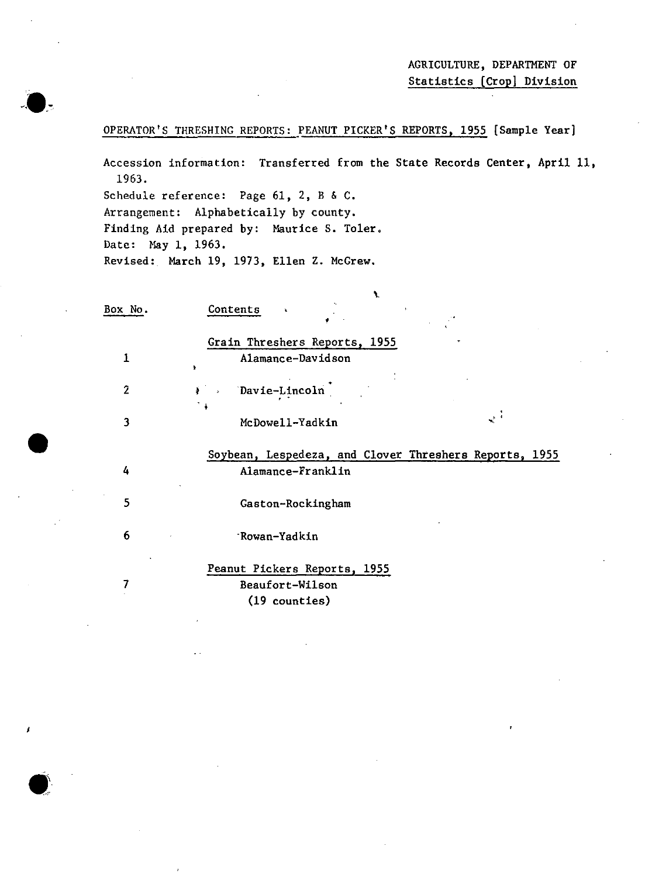OPERATOR'S THRESHING REPORTS: PEANUT PICKER'S REPORTS, 1955 (Sample Year]

Accession information: Transferred from the State Records Center, April II, 1963.

Schedule reference: Page  $61$ ,  $2$ ,  $8$  &  $C$ . Arrangement: Alphabetically by county. Finding Aid prepared by: Maurice S. Toler. Date: May 1, 1963. Revised: March 19, 1973, Ellen Z. McGrew.

•

| Box No.        | Contents<br>¥                                          |
|----------------|--------------------------------------------------------|
|                | Grain Threshers Reports, 1955                          |
| 1              | Alamance-Davidson<br>٠                                 |
| $\overline{2}$ | <i>i</i> Davie-Lincoln                                 |
| 3              | ्र नं<br>McDowell-Yadkin                               |
|                | Soybean, Lespedeza, and Clover Threshers Reports, 1955 |
| 4              | Alamance-Franklin                                      |
| 5              | Gaston-Rockingham                                      |
| 6              | Rowan-Yadkin                                           |
|                | Peanut Pickers Reports, 1955                           |
| 7              | Beaufort-Wilson                                        |

(19 counties)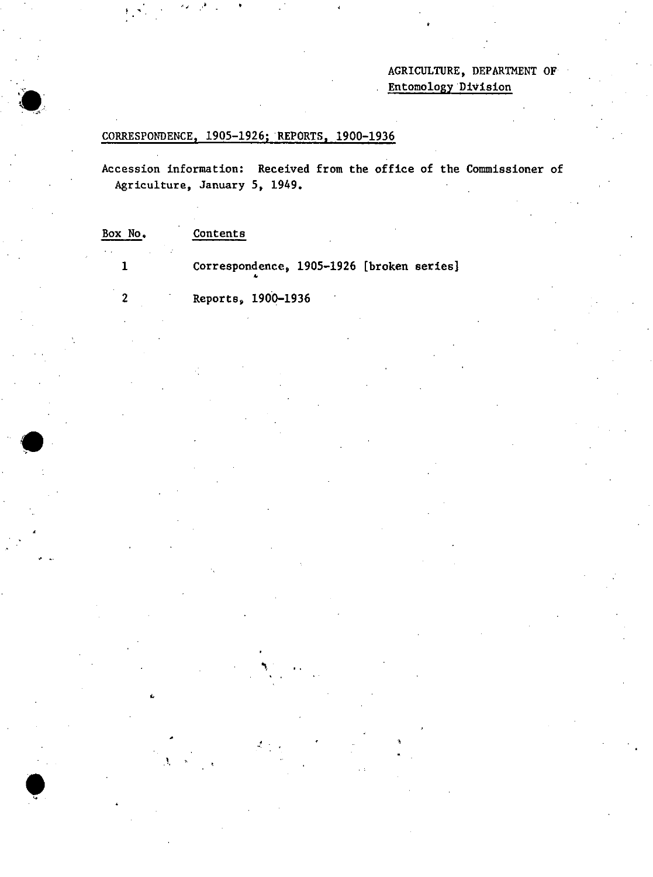## AGRICULTURE, DEPARTMENT OF Entomology 'Division

# CORRESPONDENCE, 1905-1926; REPORTS, 1900-1936

 $\bullet$ 

 $\mathbf{r}$ 

 $\bullet$ 

Accession information: Received from the office of the Commissioner of Agriculture, January 5, 1949.

 $\mathbf{r}$ 

| Box No. | Contents                                  |
|---------|-------------------------------------------|
|         | Correspondence, 1905-1926 [broken series] |
|         | Reports, 1900-1936                        |

'I,

-'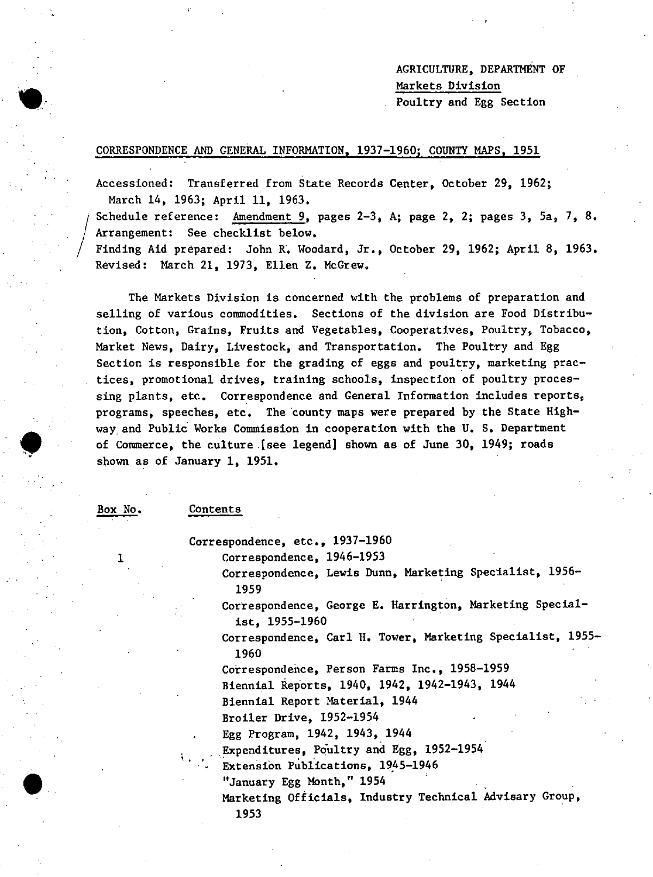AGRICULTURE, DEPARTMENT OF Markets Division Poultry and Egg Section

#### CORRESPONDENCE AND GENERAL INFORMATION, 1937-1960; COUNTY MAPS, 1951

Accessioned: Transferred from State Records Center, October 29, 1962; March 14, 1963; April 11, 1963.

 $\bigg| \begin{smallmatrix} \cdot & \cdot & \cdot \end{smallmatrix}$ Schedule reference: Amendment 9, pages 2-3, A; page 2, 2; pages 3, Sa, 7, 8. Arrangement: See checklist below. Finding Aid prepared: John R. Woodard, Jr., October 29, 1962; April 8, 1963. Revised: March 21, 1973, Ellen Z. McGrew.

The Markets Division is concerned with the problems of preparation and selling of various commodities. Sections of the division are Food Distribution, Cotton, Grains, Fruits and Vegetables, Cooperatives, Poultry, Tobacco, Market News, Dairy, Livestock, and Transportation. The Poultry and Egg Section is responsible for the grading of eggs and poultry, marketing practices, promotional drives, training schools, inspection of poultry processing plants, etc. Correspondence and General Information includes reports, programs, speeches, etc. The county maps were prepared by the State Highway. and Public Works Commission in cooperation with the U. S. Department of Commerce, the culture .[see legend) shown as of June 30, 1949; roads shown as of January 1, 1951.

Box No.

1

 $\bullet$ 

I

/

#### Contents

Correspondence, etc., 1937-1960

Correspondence, 1946-1953

Correspondence, Lewis Dunn, Marketing Specialist, 1956- 1959

Correspondence, George E. Harrington, Marketing Specialist, 1955-1960

Correspondence, Carl H. Tower, Marketing Specialist, 1955- 1960

Correspondence, Person Farms Inc., 1958-1959

Biennial Reports, 1940, 1942, 1942-1943, 1944

Biennial Report Material, 1944

Broiler Drive, 1952-1954

Egg Program, 1942, 1943, 1944

 $\mathbb{G}_{\mathbb{Z}_2}$ Expenditures, Poultry and Egg, 1952-1954

Extension Publications, 1945-1946

"January Egg Month," 1954

Marketing Officials, Industry Technical Advisary Group, 1953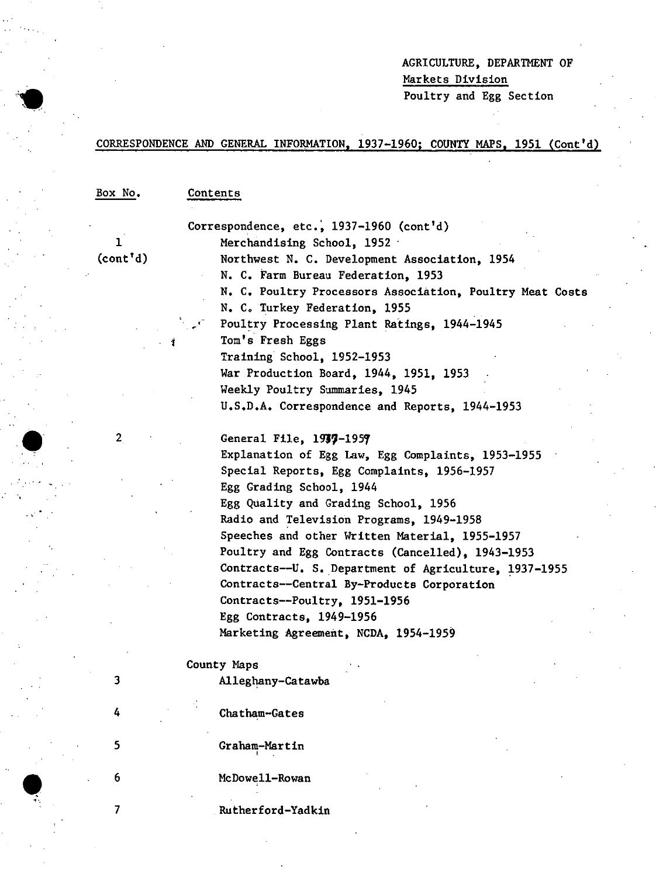## AGRICULTURE, DEPARTMENT OF Markets Division Poultry and Egg Section

## CORRESPONDENCE AND GENERAL INFORMATION, 1937-1960; COUNTY MAPS, 1951 (Cont'd)

Box No.

#### Contents

1 (cont'd)

2

3

4

5

6

7

, "

 $\bullet$  .

Correspondence, etc.,  $1937-1960$  (cont'd) Merchandising School, 1952 - Northwest N. C. Development Association, 1954 N. C. Farm Bureau Federation, 1953 N. C. Poultry Processors Association, Poultry Meat Costs N. C. Turkey Federation, 1955 Poultry Processing Plant Ratings, 1944-1945 Tom's Fresh Eggs Training School, 1952-1953 War Production Board, 1944, 1951, 1953 Weekly Poultry Summaries, 1945 U.S.D.A. Correspondence and Reports, 1944-1953

General File, 1937-1959 Explanation of Egg Law, Egg Complaints, 1953-1955 Special Reports, Egg Complaints, 1956-1957 Egg Grading School, 1944 Egg Quality and Grading School, 1956 Radio and Television Programs, 1949-1958 Speeches and other Written Material, 1955-1957 Poultry and Egg Contracts (Cancelled), 1943-1953 Contracts--U. S. Department of Agriculture, 1937-1955 Contracts--Centra1 By-Products Corporation Contracts--Pou1try, 1951-1956 Egg Contracts, 1949-1956 Marketing Agreement, NCDA, 1954-1959

County Maps

Alleghany-Catawba

Chatham-Gates

Graham-Martin ,

McDowell-Rowan ,

Rutherford-Yadkin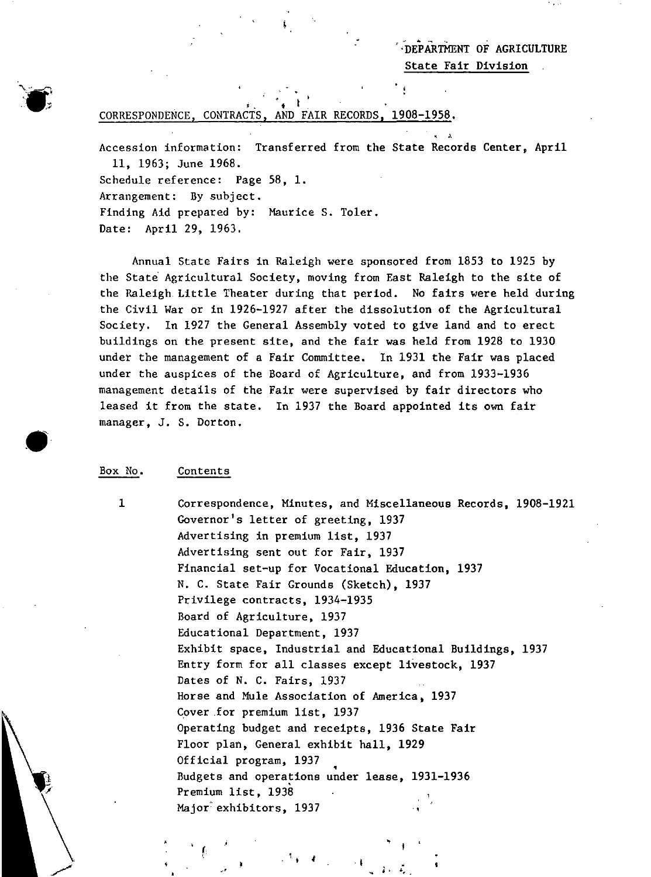"DEPARTMENT OF AGRICULTURE State Fair Division

#### $i$  ,  $i$  ,  $i$ CORRESPONDENCE, CONTRACTS, AND FAIR RECORDS, 1908-1958.

Accession information: Transferred from the State Records Center, April II, 1963; June 1968. Schedule reference: Page 58, 1. Arrangement: By subject. Finding Aid prepared by: Maurice S. Toler. Date: April 29, 1963.

Annual State Fairs in Raleigh were sponsored from 1853 to 1925 by the State Agricultural Society, moving from East Raleigh to the site of the Raleigh. Little Theater during that period. No fairs were held during the Civil War or in 1926-1927 after the dissolution of the Agricultural Society. In 1927 the General Assembly voted to give land and to erect buildings on the present site, and the fair was held from 1928 to 1930 under the management of a Fair Committee. In 1931 the Fair was placed under the auspices of the Board of Agriculture, and from 1933-1936 management details of the Fair were supervised by fair directors who leased it from the state. In 1937 the Board appointed its own fair manager, J. S. Dorton.

#### Box No. Contents

1

 $\bullet$ 

•

Correspondence, Minutes, and Miscellaneous Records, 1908-1921 Governor's letter of greeting, 1937 Advertising in premium list, 1937 Advertising sent out for Fair, 1937 Financial set-up for Vocational Education, 1937 N. C. State Fair Grounds (Sketch), 1937 Privilege contracts, 1934-1935 Board of Agriculture, 1937 Educational Department, 1937 Exhibit space, Industrial and Educational Buildings, 1937 Entry form for all classes except livestock, 1937 Dates of N. C. Fairs, 1937 Horse and Mule Association of America, 1937 Cover for premium list, 1937 Operating budget and receipts, 1936 State Fair Floor plan, General exhibit hall, 1929 Official program, 1937 official program, 1997<br>Budgets and operations under lease, 1931-1936 Premium list, 1938 Major'exhibitors, 1937 ..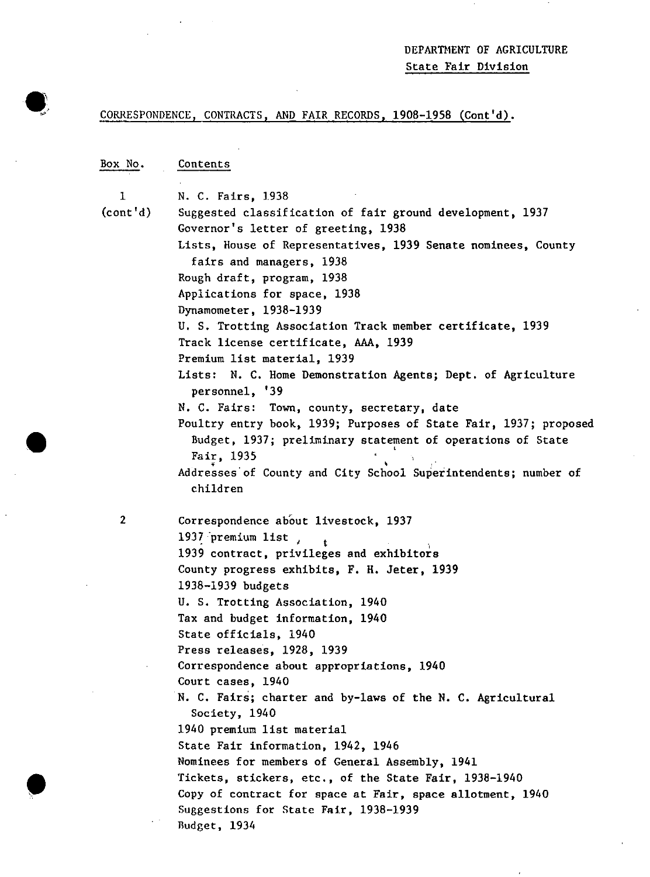## DEPARTMENT OF AGRICULTURE State Fair Division

 $\sim$ 

 $\sim$ 

## CORRESPONDENCE, CONTRACTS, AND FAIR RECORDS, 1908-1958 (Cont'd).

| Box No.        | Contents                                                                                         |
|----------------|--------------------------------------------------------------------------------------------------|
|                |                                                                                                  |
| 1              | N. C. Fairs, 1938                                                                                |
| (cont' d)      | Suggested classification of fair ground development, 1937<br>Governor's letter of greeting, 1938 |
|                | Lists, House of Representatives, 1939 Senate nominees, County                                    |
|                | fairs and managers, 1938                                                                         |
|                | Rough draft, program, 1938                                                                       |
|                | Applications for space, 1938                                                                     |
|                | Dynamometer, 1938-1939                                                                           |
|                | U. S. Trotting Association Track member certificate, 1939                                        |
|                | Track license certificate, AAA, 1939                                                             |
|                | Premium list material, 1939                                                                      |
|                | Lists: N. C. Home Demonstration Agents; Dept. of Agriculture                                     |
|                | personnel, '39                                                                                   |
|                | N. C. Fairs: Town, county, secretary, date                                                       |
|                | Poultry entry book, 1939; Purposes of State Fair, 1937; proposed                                 |
|                | Budget, 1937; preliminary statement of operations of State                                       |
|                | Fair, 1935                                                                                       |
|                | Addresses of County and City School Superintendents; number of                                   |
|                | children                                                                                         |
| $\overline{2}$ | Correspondence about livestock, 1937                                                             |
|                | 1937 premium list                                                                                |
|                | 1939 contract, privileges and exhibitors                                                         |
|                | County progress exhibits, F. H. Jeter, 1939                                                      |
|                | 1938-1939 budgets                                                                                |
|                | U. S. Trotting Association, 1940                                                                 |
|                | Tax and budget information, 1940                                                                 |
|                | State officials, 1940                                                                            |
|                | Press releases, 1928, 1939                                                                       |
|                | Correspondence about appropriations, 1940                                                        |
|                | Court cases, 1940                                                                                |
|                | N. C. Fairs; charter and by-laws of the N. C. Agricultural                                       |
|                | Society, 1940                                                                                    |
|                | 1940 premium list material                                                                       |
|                | State Fair information, 1942, 1946                                                               |
|                | Nominees for members of General Assembly, 1941                                                   |
|                | Tickets, stickers, etc., of the State Fair, 1938-1940                                            |
|                | Copy of contract for space at Fair, space allotment, 1940                                        |
|                | Suggestions for State Fair, 1938-1939                                                            |
|                | Budget, 1934                                                                                     |

•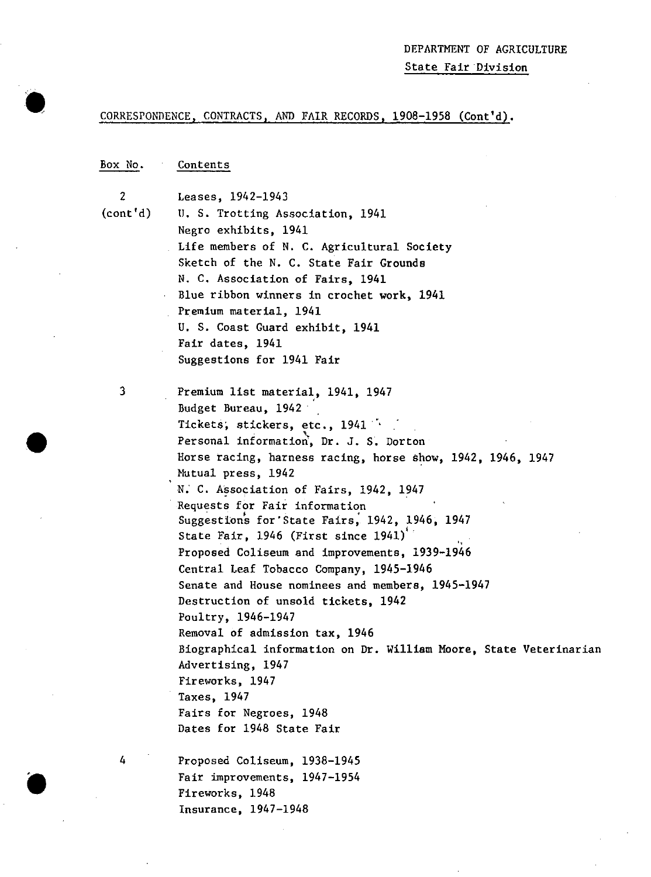#### CORRESPONDENCE, CONTRACTS, AND FAIR RECORDS, 1908-1958 (Cont'd).

#### Box No. Contents

2 (cont'd)

 $\bullet$ 

•

 $\bullet$ 

Leases, 1942-1943 U. S. Trotting Association, 1941 Negro exhibits, 1941 Life members of N. C. Agricultural Society Sketch of the N. C. State Fair Grounds N. C. Association of Fairs, 1941 Blue ribbon winners in crochet work, 1941 Premium material, 1941 U. S. Coast Guard exhibit, 1941 Fair dates, 1941 Suggestions for 1941 Fair

3

4

Premium list material, 1941, 1947 Budget Bureau, 1942' Tickets; stickers, etc., 1941<br>Personal information, Dr. J. S. Dorton Horse racing, harness racing, horse show, 1942, 1946, 1947 Nutual press, 1942 N. C. Association of Fairs, 1942, 1947 Requests for Fair information Suggestions for' State Fairs, 1942, 1946, 1947 State Fair, 1946 (First since 1941)' ' Proposed Coliseum and improvements, 1939-1946 Central Leaf Tobacco Company, 1945-1946 Senate and House nominees and members, 1945-1947 Destruction of unsold tickets, 1942 Poultry, 1946-1947 Removal of admission tax, 1946 Biographical information on Dr. William Moore, State Veterinarian Advertising, 1947 Fireworks, 1947 Taxes, 1947 Fairs for Negroes, 1948 Dates for 1948 State Fair

Proposed Coliseum, 1938-1945 Fair improvements, 1947-1954 Fireworks, 1948 Insurance, 1947-1948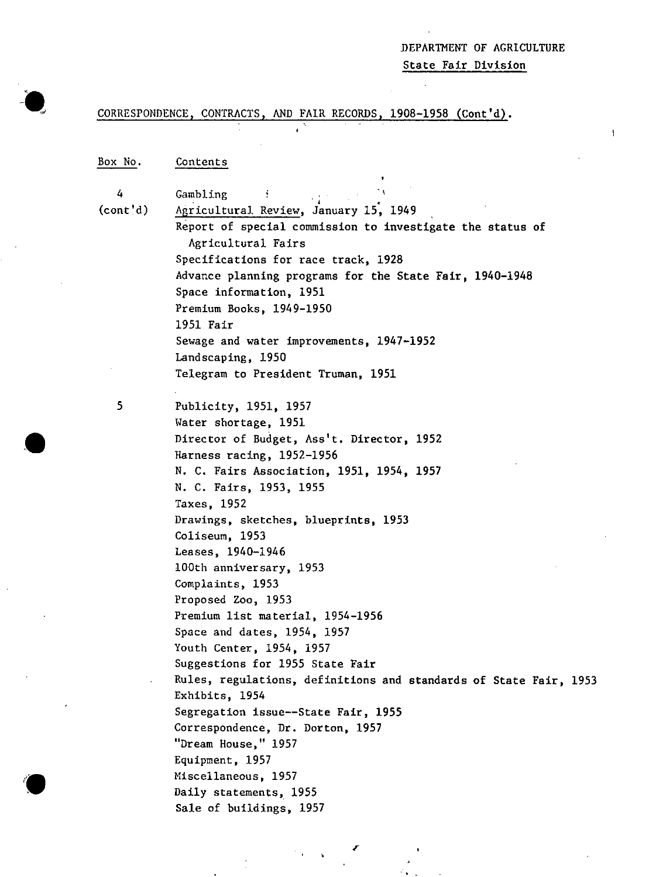## .DEPARTMENT OF AGRICULTURE

State Fair Division

## CORRESPONDENCE, CONTRACTS, AND FAIR RECORDS, 1908-1958 (Cont'd).

#### Box No. Contents

4

(cont'd) Gambling ...<br>Agricultural Review, January 15, 1949

> Report of special commission to investigate the status of Agricultural Fairs Specifications for race track, 1928 Advance planning programs for the State Fair, 1940-1948 Space information, 1951

Premium Books, 1949-1950 1951 Fair Sewage and water improvements, 1947-1952 Landscaping, 1950

Telegram to President Truman, 1951

5

•

Publicity, 1951, 1957 Water shortage, 1951 Director of Budget, Ass't. Director, 1952 Harness racing, 1952-1956 N. C. Fairs Association, 1951, 1954, 1957 N. C. Fairs, 1953, 1955 Taxes, 1952 Drawings, sketches, blueprints, 1953 Coliseum, 1953 Leases, 1940-1946 lOOth anniversary, 1953 Complaints, 1953 Proposed Zoo, 1953 Premium list material, 1954-1956 Space and dates, 1954, 1957 Youth Center, 1954, 1957 Suggestions for 1955 State Fair Rules, regulations, definitions and standards of State Fair, 1953 Exhibits, 1954 Segregation issue--State Fair, 1955 Correspondence, Dr. Dorton, 1957 "Dream House," 1957 Equipment, 1957 Miscellaneous, 1957 Daily statements, 1955 Sale of buildings, 1957

r

..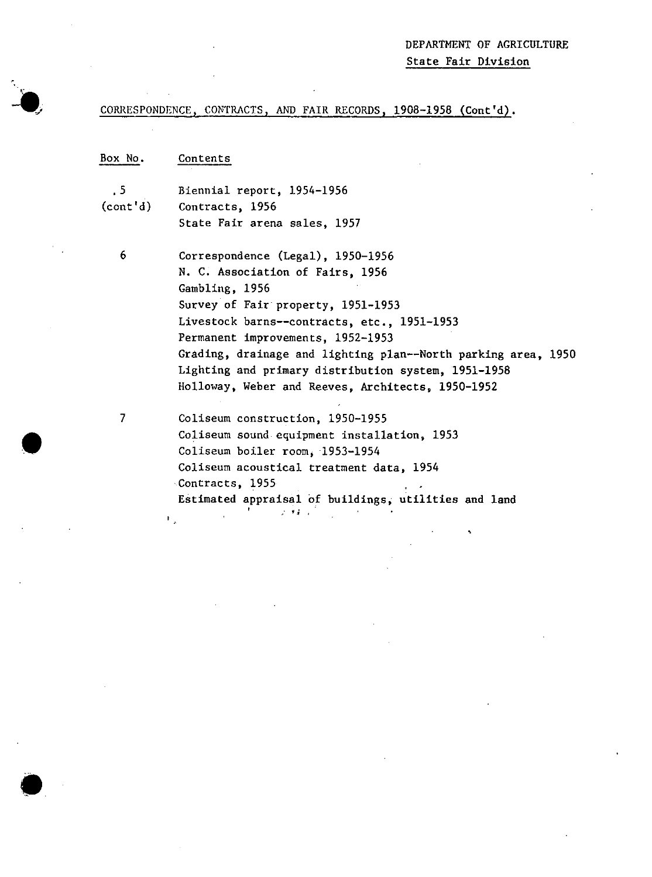area, 1950

## CORRESPONDENCE, CONTRACTS, AND FAIR RECORDS, 1908-1958 (Cont'd).

| Box No.                  | Contents                                                                 |
|--------------------------|--------------------------------------------------------------------------|
| .5                       | Biennial report, 1954-1956                                               |
| $\text{(cont'}\text{d})$ | Contracts, 1956                                                          |
|                          | State Fair arena sales, 1957                                             |
| 6                        | Correspondence (Legal), 1950-1956                                        |
|                          | N. C. Association of Fairs, 1956                                         |
|                          | Gambling, 1956                                                           |
|                          | Survey of Fair property, 1951-1953                                       |
|                          | Livestock barns--contracts, etc., 1951-1953                              |
|                          | Permanent improvements, 1952-1953                                        |
|                          | Grading, drainage and lighting plan--North parking at                    |
|                          | Lighting and primary distribution system, 1951-1958                      |
|                          | Holloway, Weber and Reeves, Architects, 1950-1952                        |
| 7                        | Coliseum construction, 1950-1955                                         |
|                          | Coliseum sound equipment installation, 1953                              |
|                          | Coliseum boiler room, 1953-1954                                          |
|                          | Coliseum acoustical treatment data, 1954                                 |
|                          | Contracts, 1955                                                          |
|                          | Estimated appraisal of buildings, utilities and land<br>$\sim$ 100 $\pm$ |

•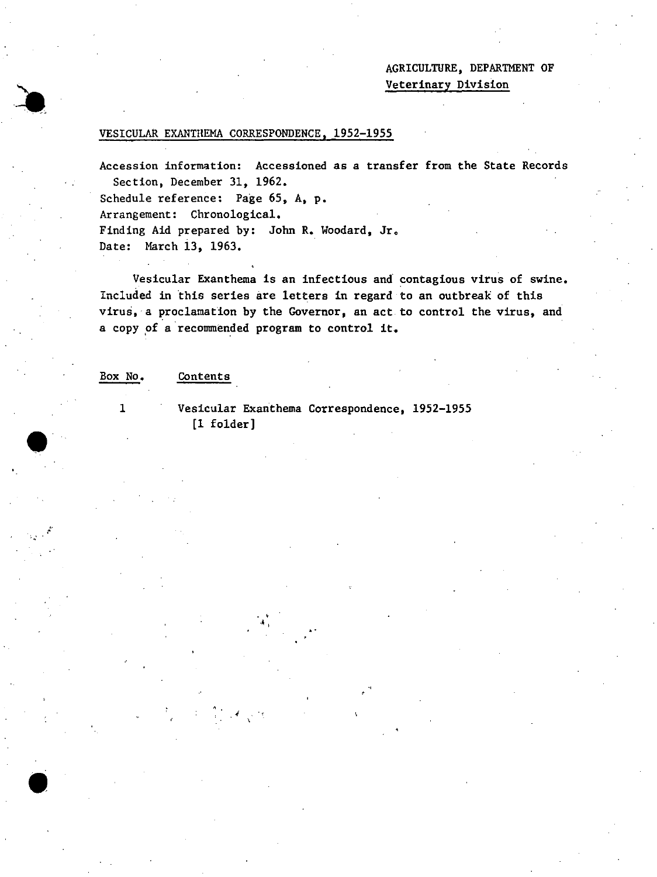## AGRICULTURE, DEPARTMENT OF Veterinary Division

#### VESICULAR EXANTHEMA CORRESPONDENCE, 1952-1955

Accession information: Accessioned as a transfer from the State Records Section, December 31, 1962.

Schedule reference: Page 65, A, p.

Arrangement: Chronological.

Finding Aid prepared by: John R. Woodard, Jr. Date: March 13, 1963.

Vesicular Exanthema is an infectious and contagious virus of swine. Included in this series are letters in regard to an outbreak of this virus, a proclamation by the Governor, an act to control the virus, and a copy of a recommended program to control it.

Box No.

#### Contents

1

•

•

Vesicular Exarithema Correspondence, 1952-1955 [1 folder]

- . , , , .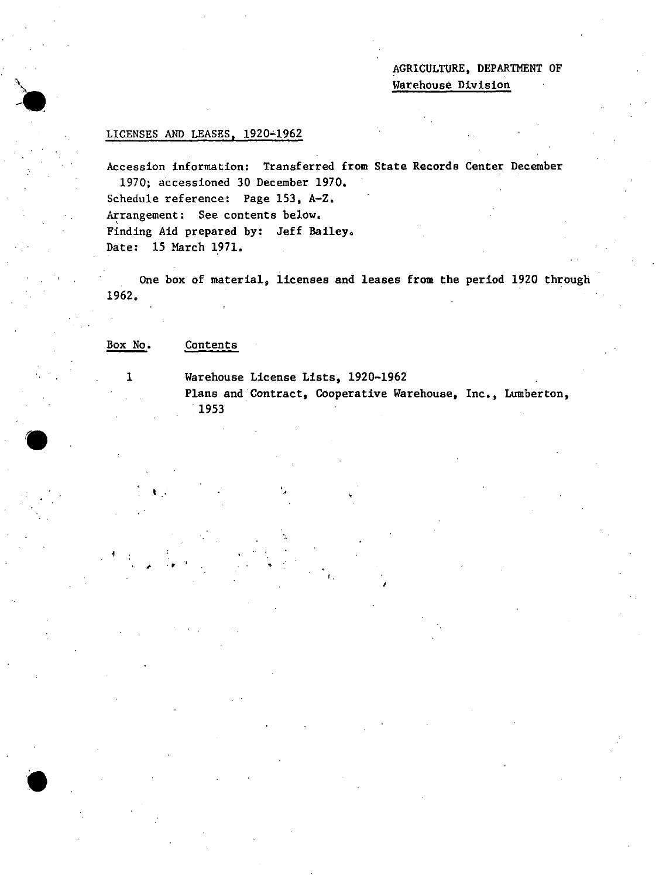AGRICULTURE, DEPARTMENT OF Warehouse Division

## LICENSES AND LEASES, 1920~1962

.\

**-It** 

**'.** 

 $\bullet$ 

Accession information: Transferred from State Records Center December 1970; accessioned 30 December 1970.

Schedule reference: Page 153, A-Z. Arrangement: See contents below. Finding Aid prepared by: Jeff Bailey. Date: 15 March 1971.

One box· of material, licenses and leases from the period 1920 through 1962.

#### Box No. Contents

, .'

1

Warehouse License Lists, 1920-1962

 $\mathbf{P} = \begin{bmatrix} \mathbf{P} & \mathbf{P} & \mathbf{P} & \mathbf{P} & \mathbf{P} & \mathbf{P} & \mathbf{P} & \mathbf{P} & \mathbf{P} & \mathbf{P} & \mathbf{P} & \mathbf{P} & \mathbf{P} & \mathbf{P} & \mathbf{P} & \mathbf{P} & \mathbf{P} & \mathbf{P} & \mathbf{P} & \mathbf{P} & \mathbf{P} & \mathbf{P} & \mathbf{P} & \mathbf{P} & \mathbf{P} & \mathbf{P} & \mathbf{P} & \mathbf{P} & \mathbf{P} & \mathbf{$ 

Plans and Contract, Cooperative Warehouse, Inc., Lumberton, ·1953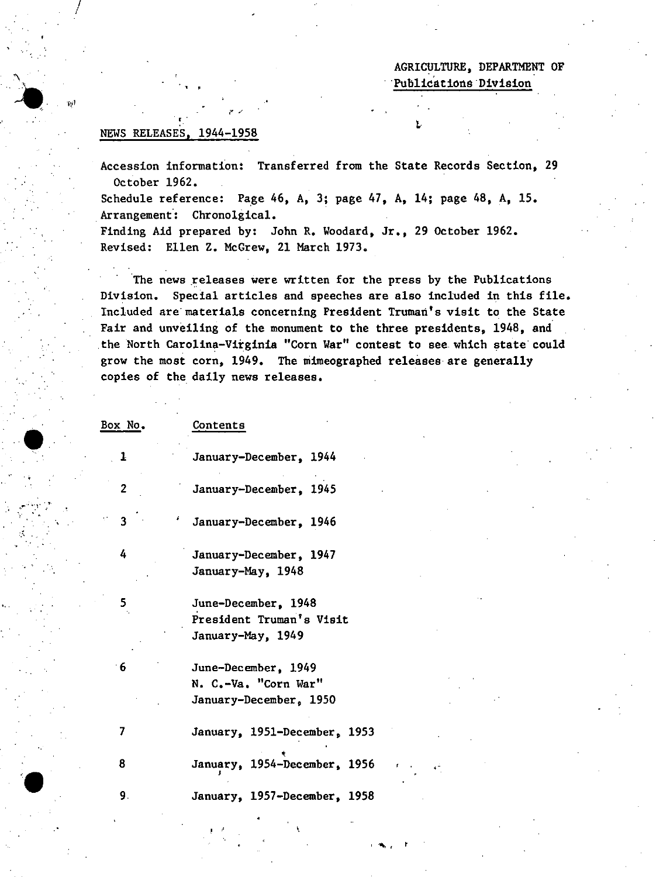## AGRICULTURE, DEPARTMENT OF Publications Division

### NEWS RELEASES, 1944-1958

 $\cdot$  ,

/

 $\bullet$ 

- .

 $\mathcal{P}^{\text{max}}(\mathcal{P})$ 

**'.** 

:,:,

'--

Accession information: Transferred from the State Records Section, 29 October 1962.

Schedule reference: Page 46, A, 3; page 47, A, 14; page 48, A, 15. Arrangement: Chronolgical.

Finding Aid prepared by: John R. Woodard, Jr., 29 October 1962. Revised: Ellen Z. McGrew, 21 March 1973.

The news releases were written for the press by the Publications Division. Special articles and speeches are also included in this file. Included are materials concerning President Truman's visit to the State Fair and unveiling of the monument to the three presidents, 1948, and the North Carolina-Virginia "Corn War" contest to see which state could grow the most corn, 1949. The mimeographed releases-are generally copies of the daily news releases.

| Box No.                    | Contents                                                              |
|----------------------------|-----------------------------------------------------------------------|
| 1                          | January-December, 1944                                                |
| $\overline{2}$             | January-December, 1945                                                |
| $\mathbf{R}$<br>¥.         | January-December, 1946                                                |
| 4                          | January-December, 1947<br>January-May, 1948                           |
| 5<br>$\mathcal{A}_\bullet$ | June-December, 1948<br>President Truman's Visit<br>January-May, 1949  |
| 6                          | June-December, 1949<br>N. C.-Va. "Corn War"<br>January-December, 1950 |
| 7                          | January, 1951-December, 1953                                          |
| 8                          | January, 1954-December, 1956                                          |
| 9.                         | January, 1957-December, 1958                                          |

,  $\mathbf{r}$ 

 $\mathbf{r}$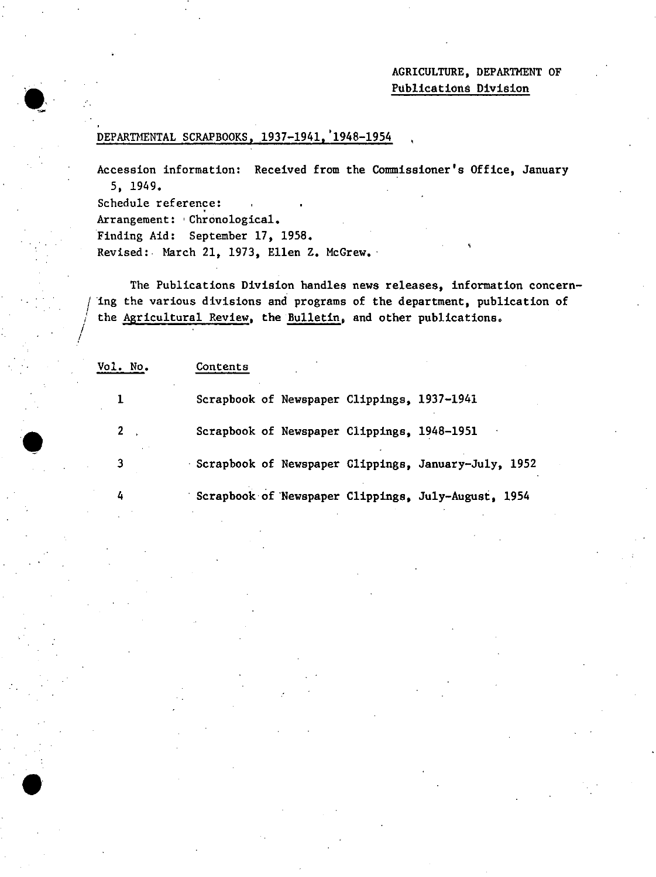## AGRICULTURE, DEPARTMENT OF Publications Division

## DEPARTMENTAL SCRAPBOOKS, 1937-1941, '1948-1954

Accession information: Received from the Commissioner's Office, January 5, 1949.

Schedule reference:

 $\bullet$ 

 $\int_{\mathbb{R}^2}$ 

•

Arrangement: 'Chronological. Finding Aid: September 17, 1958. Revised: March 21, 1973, Ellen Z. McGrew.

The Publications Division handles news releases, information concern-<br>ing the various divisions and programs of the department, publication of the Agricultural Review, the Bulletin, and other publications.

Vol. No. Contents 1 Scrapbook of Newspaper Clippings, 1937-1941 2 Scrapbook of Newspaper Clippings, 1948-1951 3 Scrapbook of Newspaper Clippings, January-July, 1952 4 Scrapbook'of 'Newspaper Clippings, July-August, 1954